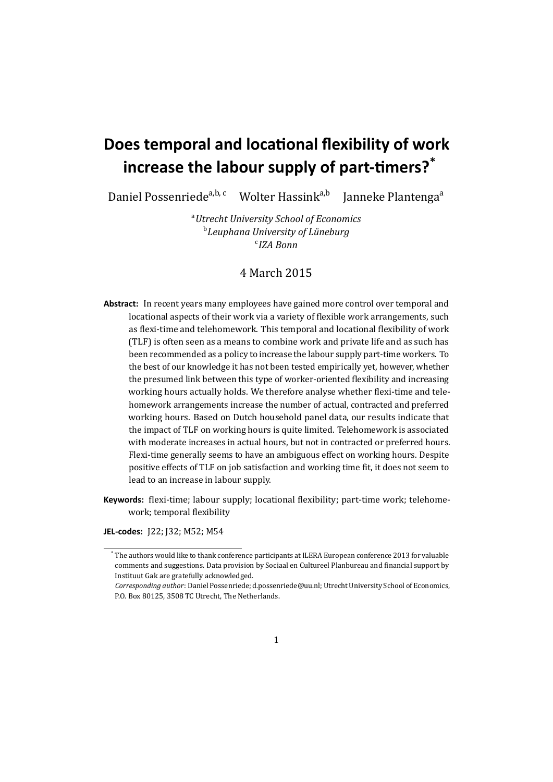# **Does temporal and locational flexibility of work increase the labour supply of part-timers?\***

Daniel Possenriede<sup>a,b, c</sup> Wolter Hassink<sup>a,b</sup> Janneke Plantenga<sup>a</sup>

<sup>a</sup>*Utrecht University School of Economics* b *Leuphana University of Lüneburg* c *IZA Bonn*

# 4 March 2015

- **Abstract:** In recent years many employees have gained more control over temporal and locational aspects of their work via a variety of flexible work arrangements, such as flexi-time and telehomework. This temporal and locational flexibility of work (TLF) is often seen as a means to combine work and private life and as such has been recommended as a policy to increase the labour supply part-time workers. To the best of our knowledge it has not been tested empirically yet, however, whether the presumed link between this type of worker-oriented flexibility and increasing working hours actually holds. We therefore analyse whether flexi-time and telehomework arrangements increase the number of actual, contracted and preferred working hours. Based on Dutch household panel data, our results indicate that the impact of TLF on working hours is quite limited. Telehomework is associated with moderate increases in actual hours, but not in contracted or preferred hours. Flexi-time generally seems to have an ambiguous effect on working hours. Despite positive effects of TLF on job satisfaction and working time fit, it does not seem to lead to an increase in labour supply.
- **Keywords:** flexi-time; labour supply; locational flexibility; part-time work; telehomework; temporal flexibility

**JEL-codes:** J22; J32; M52; M54

<sup>\*</sup> The authors would like to thank conference participants at ILERA European conference 2013 for valuable comments and suggestions. Data provision by [Sociaal en Cultureel Planbureau](http://www.scp.nl) and financial support by [Instituut Gak](http://www.instituutgak.nl) are gratefully acknowledged.

*Corresponding author*: Daniel Possenriede; [d.possenriede@uu.nl;](mailto:d.possenriede@uu.nl) Utrecht University School of Economics, P.O. Box 80125, 3508 TC Utrecht, The Netherlands.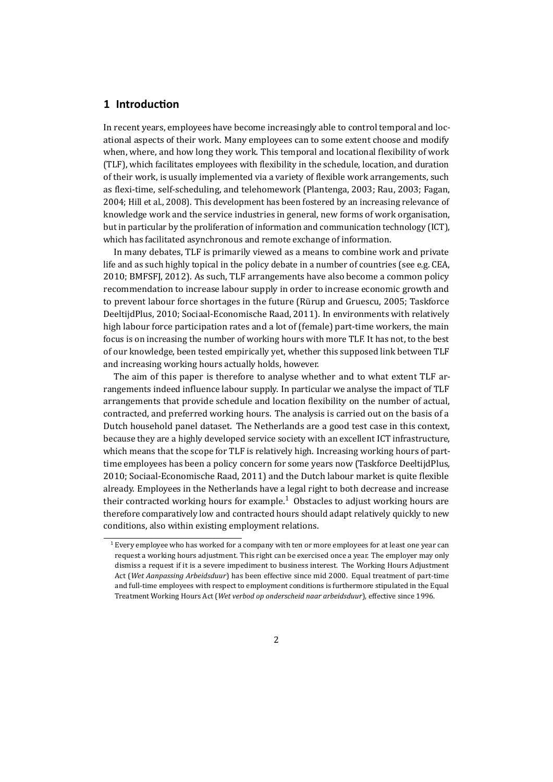#### **1 Introduction**

In recent years, employees have become increasingly able to control temporal and locational aspects of their work. Many employees can to some extent choose and modify when, where, and how long they work. This temporal and locational flexibility of work (TLF), which facilitates employees with flexibility in the schedule, location, and duration of their work, is usually implemented via a variety of flexible work arrangements, such as flexi-time, self-scheduling, and telehomework (Plantenga, [2003;](#page-25-0) Rau, [2003;](#page-25-1) Fagan, [2004;](#page-23-0) Hill et al., [2008\)](#page-24-0). This development has been fostered by an increasing relevance of knowledge work and the service industries in general, new forms of work organisation, but in particular by the proliferation of information and communication technology (ICT), which has facilitated asynchronous and remote exchange of information.

In many debates, TLF is primarily viewed as a means to combine work and private life and as such highly topical in the policy debate in a number of countries (see e.g. CEA, [2010;](#page-23-1) BMFSFJ, [2012\)](#page-22-0). As such, TLF arrangements have also become a common policy recommendation to increase labour supply in order to increase economic growth and to prevent labour force shortages in the future (Rürup and Gruescu, [2005;](#page-25-2) Taskforce DeeltijdPlus, [2010;](#page-25-3) Sociaal-Economische Raad, [2011\)](#page-25-4). In environments with relatively high labour force participation rates and a lot of (female) part-time workers, the main focus is on increasing the number of working hours with more TLF. It has not, to the best of our knowledge, been tested empirically yet, whether this supposed link between TLF and increasing working hours actually holds, however.

The aim of this paper is therefore to analyse whether and to what extent TLF arrangements indeed influence labour supply. In particular we analyse the impact of TLF arrangements that provide schedule and location flexibility on the number of actual, contracted, and preferred working hours. The analysis is carried out on the basis of a Dutch household panel dataset. The Netherlands are a good test case in this context, because they are a highly developed service society with an excellent ICT infrastructure, which means that the scope for TLF is relatively high. Increasing working hours of parttime employees has been a policy concern for some years now (Taskforce DeeltijdPlus, [2010;](#page-25-3) Sociaal-Economische Raad, [2011\)](#page-25-4) and the Dutch labour market is quite flexible already. Employees in the Netherlands have a legal right to both decrease and increase their contracted working hours for example.<sup>[1](#page-1-0)</sup> Obstacles to adjust working hours are therefore comparatively low and contracted hours should adapt relatively quickly to new conditions, also within existing employment relations.

<span id="page-1-0"></span> $1$  Every employee who has worked for a company with ten or more employees for at least one year can request a working hours adjustment. This right can be exercised once a year. The employer may only dismiss a request if it is a severe impediment to business interest. The Working Hours Adjustment Act (*Wet Aanpassing Arbeidsduur*) has been effective since mid 2000. Equal treatment of part-time and full-time employees with respect to employment conditions is furthermore stipulated in the Equal Treatment Working Hours Act (*Wet verbod op onderscheid naar arbeidsduur*), effective since 1996.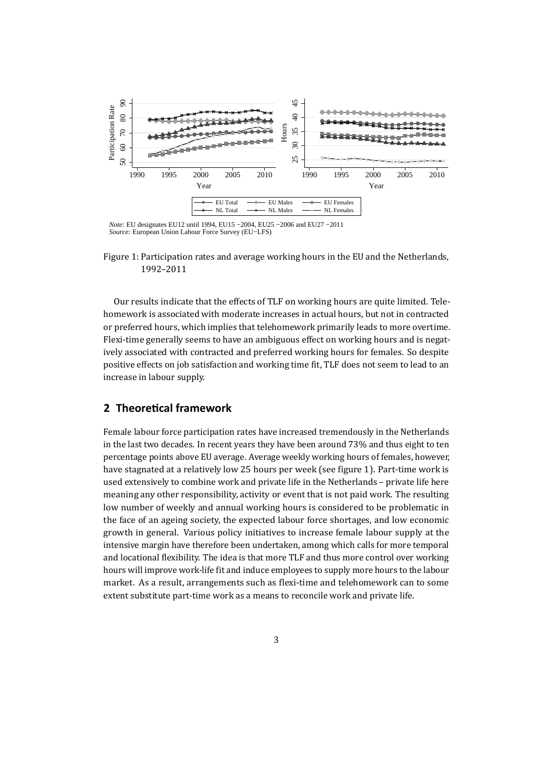<span id="page-2-0"></span>

Figure 1: Participation rates and average working hours in the EU and the Netherlands, 1992–2011

Our results indicate that the effects of TLF on working hours are quite limited. Telehomework is associated with moderate increases in actual hours, but not in contracted or preferred hours, which implies that telehomework primarily leads to more overtime. Flexi-time generally seems to have an ambiguous effect on working hours and is negatively associated with contracted and preferred working hours for females. So despite positive effects on job satisfaction and working time fit, TLF does not seem to lead to an increase in labour supply.

#### **2 Theoretical framework**

Female labour force participation rates have increased tremendously in the Netherlands in the last two decades. In recent years they have been around 73% and thus eight to ten percentage points above EU average. Average weekly working hours of females, however, have stagnated at a relatively low 25 hours per week (see figure [1\)](#page-2-0). Part-time work is used extensively to combine work and private life in the Netherlands – private life here meaning any other responsibility, activity or event that is not paid work. The resulting low number of weekly and annual working hours is considered to be problematic in the face of an ageing society, the expected labour force shortages, and low economic growth in general. Various policy initiatives to increase female labour supply at the intensive margin have therefore been undertaken, among which calls for more temporal and locational flexibility. The idea is that more TLF and thus more control over working hours will improve work-life fit and induce employees to supply more hours to the labour market. As a result, arrangements such as flexi-time and telehomework can to some extent substitute part-time work as a means to reconcile work and private life.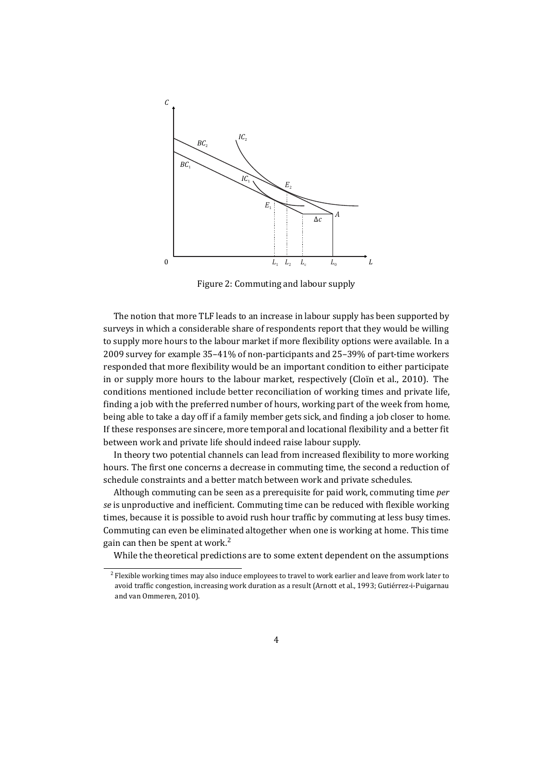<span id="page-3-1"></span>

Figure 2: Commuting and labour supply

The notion that more TLF leads to an increase in labour supply has been supported by surveys in which a considerable share of respondents report that they would be willing to supply more hours to the labour market if more flexibility options were available. In a 2009 survey for example 35–41% of non-participants and 25–39% of part-time workers responded that more flexibility would be an important condition to either participate in or supply more hours to the labour market, respectively (Cloïn et al., [2010\)](#page-23-2). The conditions mentioned include better reconciliation of working times and private life, finding a job with the preferred number of hours, working part of the week from home, being able to take a day off if a family member gets sick, and finding a job closer to home. If these responses are sincere, more temporal and locational flexibility and a better fit between work and private life should indeed raise labour supply.

In theory two potential channels can lead from increased flexibility to more working hours. The first one concerns a decrease in commuting time, the second a reduction of schedule constraints and a better match between work and private schedules.

Although commuting can be seen as a prerequisite for paid work, commuting time *per se* is unproductive and inefficient. Commuting time can be reduced with flexible working times, because it is possible to avoid rush hour traffic by commuting at less busy times. Commuting can even be eliminated altogether when one is working at home. This time gain can then be spent at work. $<sup>2</sup>$  $<sup>2</sup>$  $<sup>2</sup>$ </sup>

While the theoretical predictions are to some extent dependent on the assumptions

<span id="page-3-0"></span> $2$  Flexible working times may also induce employees to travel to work earlier and leave from work later to avoid traffic congestion, increasing work duration as a result (Arnott et al., [1993;](#page-22-1) Gutiérrez-i-Puigarnau and van Ommeren, [2010\)](#page-24-1).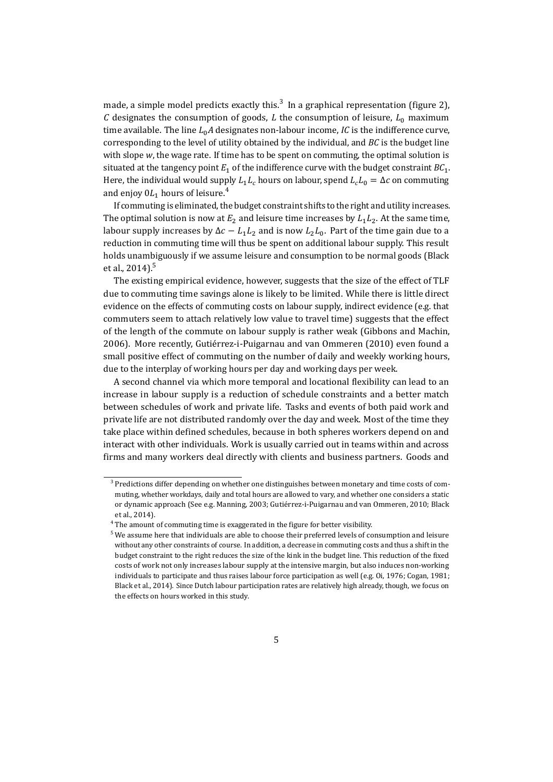made, a simple model predicts exactly this.<sup>[3](#page-4-0)</sup> In a graphical representation (figure [2\)](#page-3-1), *C* designates the consumption of goods, *L* the consumption of leisure,  $L_0$  maximum time available. The line  $L_0A$  designates non-labour income, *IC* is the indifference curve, corresponding to the level of utility obtained by the individual, and *BC* is the budget line with slope *w*, the wage rate. If time has to be spent on commuting, the optimal solution is situated at the tangency point  $E_1$  of the indifference curve with the budget constraint  $BC_1$ . Here, the individual would supply  $L_1L_c$  hours on labour, spend  $L_cL_0 = \Delta c$  on commuting and enjoy  $0L_1$  hours of leisure.<sup>[4](#page-4-1)</sup>

If commuting is eliminated, the budget constraint shifts to the right and utility increases. The optimal solution is now at  $E_2$  and leisure time increases by  $L_1L_2$ . At the same time, labour supply increases by  $\Delta c - L_1 L_2$  and is now  $L_2 L_0$ . Part of the time gain due to a reduction in commuting time will thus be spent on additional labour supply. This result holds unambiguously if we assume leisure and consumption to be normal goods (Black et al., [2014\)](#page-22-2). $5$ 

The existing empirical evidence, however, suggests that the size of the effect of TLF due to commuting time savings alone is likely to be limited. While there is little direct evidence on the effects of commuting costs on labour supply, indirect evidence (e.g. that commuters seem to attach relatively low value to travel time) suggests that the effect of the length of the commute on labour supply is rather weak (Gibbons and Machin, [2006\)](#page-23-3). More recently, Gutiérrez-i-Puigarnau and van Ommeren [\(2010\)](#page-24-1) even found a small positive effect of commuting on the number of daily and weekly working hours, due to the interplay of working hours per day and working days per week.

A second channel via which more temporal and locational flexibility can lead to an increase in labour supply is a reduction of schedule constraints and a better match between schedules of work and private life. Tasks and events of both paid work and private life are not distributed randomly over the day and week. Most of the time they take place within defined schedules, because in both spheres workers depend on and interact with other individuals. Work is usually carried out in teams within and across firms and many workers deal directly with clients and business partners. Goods and

<span id="page-4-0"></span><sup>&</sup>lt;sup>3</sup> Predictions differ depending on whether one distinguishes between monetary and time costs of commuting, whether workdays, daily and total hours are allowed to vary, and whether one considers a static or dynamic approach (See e.g. Manning, [2003;](#page-24-2) Gutiérrez-i-Puigarnau and van Ommeren, [2010;](#page-24-1) Black et al., [2014\)](#page-22-2).

<span id="page-4-1"></span> $^4$  The amount of commuting time is exaggerated in the figure for better visibility.

<span id="page-4-2"></span> $5$  We assume here that individuals are able to choose their preferred levels of consumption and leisure without any other constraints of course. In addition, a decrease in commuting costs and thus a shift in the budget constraint to the right reduces the size of the kink in the budget line. This reduction of the fixed costs of work not only increases labour supply at the intensive margin, but also induces non-working individuals to participate and thus raises labour force participation as well (e.g. Oi, [1976;](#page-24-3) Cogan, [1981;](#page-23-4) Black et al., [2014\)](#page-22-2). Since Dutch labour participation rates are relatively high already, though, we focus on the effects on hours worked in this study.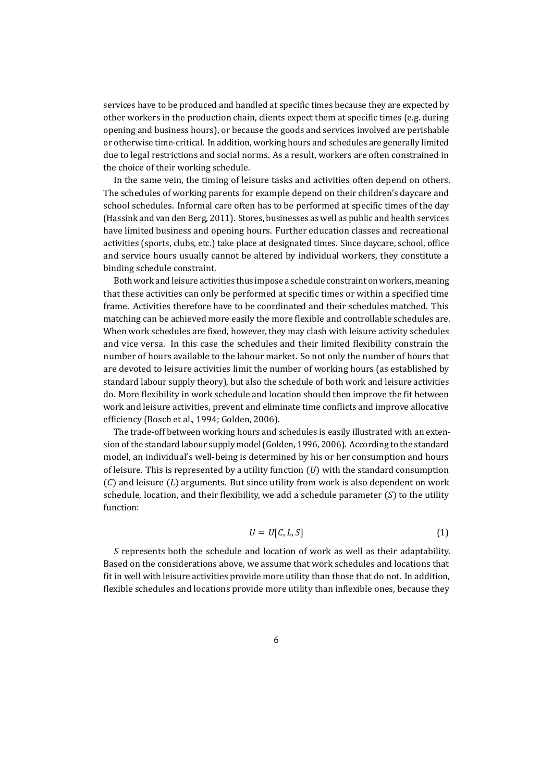services have to be produced and handled at specific times because they are expected by other workers in the production chain, clients expect them at specific times (e.g. during opening and business hours), or because the goods and services involved are perishable or otherwise time-critical. In addition, working hours and schedules are generally limited due to legal restrictions and social norms. As a result, workers are often constrained in the choice of their working schedule.

In the same vein, the timing of leisure tasks and activities often depend on others. The schedules of working parents for example depend on their children's daycare and school schedules. Informal care often has to be performed at specific times of the day (Hassink and van den Berg, [2011\)](#page-24-4). Stores, businesses as well as public and health services have limited business and opening hours. Further education classes and recreational activities (sports, clubs, etc.) take place at designated times. Since daycare, school, office and service hours usually cannot be altered by individual workers, they constitute a binding schedule constraint.

Both work and leisure activities thus impose a schedule constraint on workers, meaning that these activities can only be performed at specific times or within a specified time frame. Activities therefore have to be coordinated and their schedules matched. This matching can be achieved more easily the more flexible and controllable schedules are. When work schedules are fixed, however, they may clash with leisure activity schedules and vice versa. In this case the schedules and their limited flexibility constrain the number of hours available to the labour market. So not only the number of hours that are devoted to leisure activities limit the number of working hours (as established by standard labour supply theory), but also the schedule of both work and leisure activities do. More flexibility in work schedule and location should then improve the fit between work and leisure activities, prevent and eliminate time conflicts and improve allocative efficiency (Bosch et al., [1994;](#page-22-3) Golden, [2006\)](#page-24-5).

The trade-off between working hours and schedules is easily illustrated with an extension of the standard labour supply model (Golden, [1996,](#page-24-6) [2006\)](#page-24-5). According to the standard model, an individual's well-being is determined by his or her consumption and hours of leisure. This is represented by a utility function (*U*) with the standard consumption (*C*) and leisure (*L*) arguments. But since utility from work is also dependent on work schedule, location, and their flexibility, we add a schedule parameter (*S*) to the utility function:

<span id="page-5-0"></span>
$$
U = U[C, L, S] \tag{1}
$$

*S* represents both the schedule and location of work as well as their adaptability. Based on the considerations above, we assume that work schedules and locations that fit in well with leisure activities provide more utility than those that do not. In addition, flexible schedules and locations provide more utility than inflexible ones, because they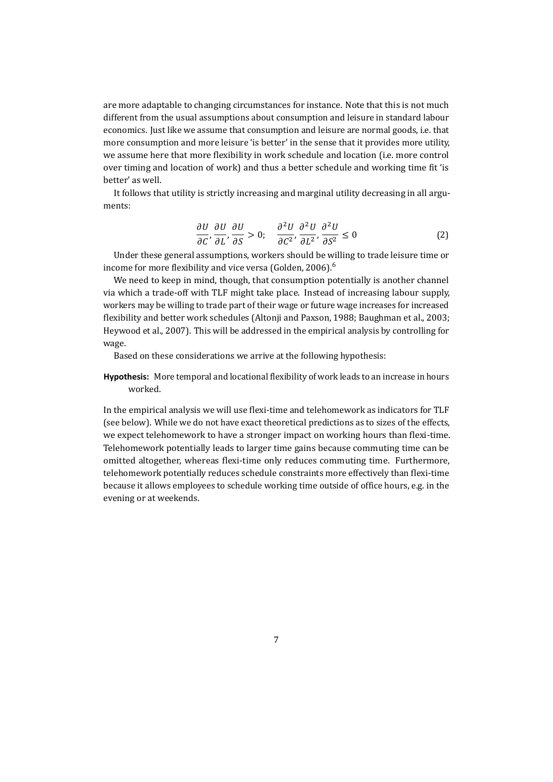are more adaptable to changing circumstances for instance. Note that this is not much different from the usual assumptions about consumption and leisure in standard labour economics. Just like we assume that consumption and leisure are normal goods, i.e. that more consumption and more leisure 'is better' in the sense that it provides more utility, we assume here that more flexibility in work schedule and location (i.e. more control over timing and location of work) and thus a better schedule and working time fit 'is better' as well.

It follows that utility is strictly increasing and marginal utility decreasing in all arguments:

<span id="page-6-0"></span>
$$
\frac{\partial U}{\partial C}, \frac{\partial U}{\partial L}, \frac{\partial U}{\partial S} > 0; \quad \frac{\partial^2 U}{\partial C^2}, \frac{\partial^2 U}{\partial L^2}, \frac{\partial^2 U}{\partial S^2} \le 0 \tag{2}
$$

Under these general assumptions, workers should be willing to trade leisure time or income for more flexibility and vice versa (Golden, [2006\)](#page-24-5).<sup>[6](#page-8-0)</sup>

We need to keep in mind, though, that consumption potentially is another channel via which a trade-off with TLF might take place. Instead of increasing labour supply, workers may be willing to trade part of their wage or future wage increases for increased flexibility and better work schedules (Altonji and Paxson, [1988;](#page-22-4) Baughman et al., [2003;](#page-22-5) Heywood et al., [2007\)](#page-24-7). This will be addressed in the empirical analysis by controlling for wage.

Based on these considerations we arrive at the following hypothesis:

**Hypothesis:** More temporal and locational flexibility of work leads to an increase in hours worked.

In the empirical analysis we will use flexi-time and telehomework as indicators for TLF (see below). While we do not have exact theoretical predictions as to sizes of the effects, we expect telehomework to have a stronger impact on working hours than flexi-time. Telehomework potentially leads to larger time gains because commuting time can be omitted altogether, whereas flexi-time only reduces commuting time. Furthermore, telehomework potentially reduces schedule constraints more effectively than flexi-time because it allows employees to schedule working time outside of office hours, e.g. in the evening or at weekends.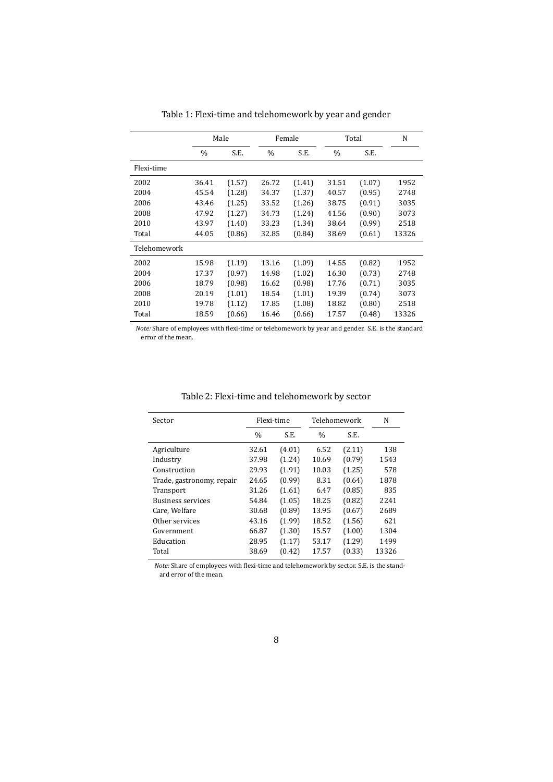<span id="page-7-0"></span>

|              |       | Male   |               | Female |       | Total  | N     |
|--------------|-------|--------|---------------|--------|-------|--------|-------|
|              | $\%$  | S.E.   | $\frac{0}{0}$ | S.E.   | $\%$  | S.E.   |       |
| Flexi-time   |       |        |               |        |       |        |       |
| 2002         | 36.41 | (1.57) | 26.72         | (1.41) | 31.51 | (1.07) | 1952  |
| 2004         | 45.54 | (1.28) | 34.37         | (1.37) | 40.57 | (0.95) | 2748  |
| 2006         | 43.46 | (1.25) | 33.52         | (1.26) | 38.75 | (0.91) | 3035  |
| 2008         | 47.92 | (1.27) | 34.73         | (1.24) | 41.56 | (0.90) | 3073  |
| 2010         | 43.97 | (1.40) | 33.23         | (1.34) | 38.64 | (0.99) | 2518  |
| Total        | 44.05 | (0.86) | 32.85         | (0.84) | 38.69 | (0.61) | 13326 |
| Telehomework |       |        |               |        |       |        |       |
| 2002         | 15.98 | (1.19) | 13.16         | (1.09) | 14.55 | (0.82) | 1952  |
| 2004         | 17.37 | (0.97) | 14.98         | (1.02) | 16.30 | (0.73) | 2748  |
| 2006         | 18.79 | (0.98) | 16.62         | (0.98) | 17.76 | (0.71) | 3035  |
| 2008         | 20.19 | (1.01) | 18.54         | (1.01) | 19.39 | (0.74) | 3073  |
| 2010         | 19.78 | (1.12) | 17.85         | (1.08) | 18.82 | (0.80) | 2518  |
| Total        | 18.59 | (0.66) | 16.46         | (0.66) | 17.57 | (0.48) | 13326 |

Table 1: Flexi-time and telehomework by year and gender

*Note:* Share of employees with flexi-time or telehomework by year and gender. S.E. is the standard error of the mean.

<span id="page-7-1"></span>

| Sector                    |       | Flexi-time | Telehomework  |        | N     |
|---------------------------|-------|------------|---------------|--------|-------|
|                           | $\%$  | S.E.       | $\frac{0}{0}$ | S.E.   |       |
| Agriculture               | 32.61 | (4.01)     | 6.52          | (2.11) | 138   |
| Industry                  | 37.98 | (1.24)     | 10.69         | (0.79) | 1543  |
| Construction              | 29.93 | (1.91)     | 10.03         | (1.25) | 578   |
| Trade, gastronomy, repair | 24.65 | (0.99)     | 8.31          | (0.64) | 1878  |
| Transport                 | 31.26 | (1.61)     | 6.47          | (0.85) | 835   |
| <b>Business services</b>  | 54.84 | (1.05)     | 18.25         | (0.82) | 2241  |
| Care, Welfare             | 30.68 | (0.89)     | 13.95         | (0.67) | 2689  |
| Other services            | 43.16 | (1.99)     | 18.52         | (1.56) | 621   |
| Government                | 66.87 | (1.30)     | 15.57         | (1.00) | 1304  |
| Education                 | 28.95 | (1.17)     | 53.17         | (1.29) | 1499  |
| Total                     | 38.69 | (0.42)     | 17.57         | (0.33) | 13326 |

Table 2: Flexi-time and telehomework by sector

*Note:* Share of employees with flexi-time and telehomework by sector. S.E. is the standard error of the mean.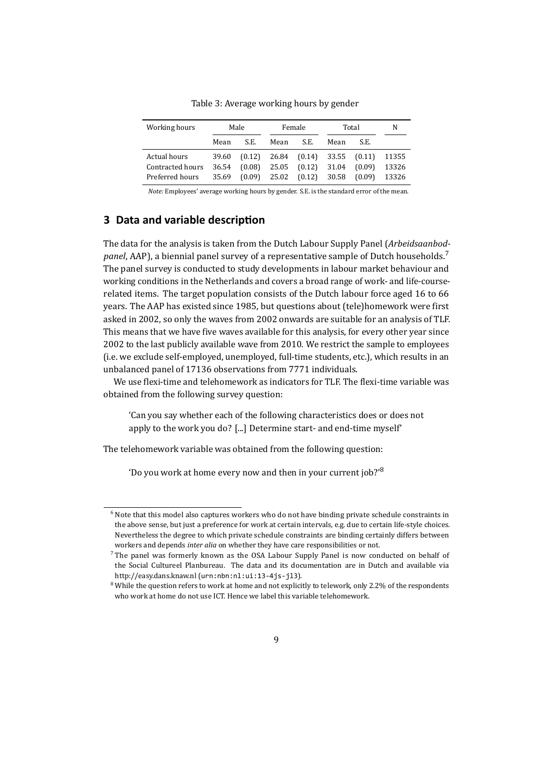<span id="page-8-3"></span>

| Working hours    |       | Male   |       | Female                        |       | Total  | N     |
|------------------|-------|--------|-------|-------------------------------|-------|--------|-------|
|                  | Mean  | S.E.   | Mean  | S.E.                          | Mean  | S.E.   |       |
| Actual hours     | 39.60 |        |       | $(0.12)$ 26.84 $(0.14)$ 33.55 |       | (0.11) | 11355 |
| Contracted hours | 36.54 | (0.08) | 25.05 | (0.12)                        | 31.04 | (0.09) | 13326 |
| Preferred hours  | 35.69 | (0.09) | 25.02 | $(0.12)$ 30.58                |       | (0.09) | 13326 |

Table 3: Average working hours by gender

*Note:* Employees' average working hours by gender. S.E. is the standard error of the mean.

# <span id="page-8-4"></span>**3 Data and variable description**

The data for the analysis is taken from the Dutch Labour Supply Panel (*Arbeidsaanbodpanel*, AAP), a biennial panel survey of a representative sample of Dutch households.<sup>[7](#page-8-1)</sup> The panel survey is conducted to study developments in labour market behaviour and working conditions in the Netherlands and covers a broad range of work- and life-courserelated items. The target population consists of the Dutch labour force aged 16 to 66 years. The AAP has existed since 1985, but questions about (tele)homework were first asked in 2002, so only the waves from 2002 onwards are suitable for an analysis of TLF. This means that we have five waves available for this analysis, for every other year since 2002 to the last publicly available wave from 2010. We restrict the sample to employees (i.e. we exclude self-employed, unemployed, full-time students, etc.), which results in an unbalanced panel of 17136 observations from 7771 individuals.

We use flexi-time and telehomework as indicators for TLF. The flexi-time variable was obtained from the following survey question:

'Can you say whether each of the following characteristics does or does not apply to the work you do? [...] Determine start- and end-time myself'

The telehomework variable was obtained from the following question:

'Do you work at home every now and then in your current job?' $8$ 

<span id="page-8-0"></span><sup>&</sup>lt;sup>6</sup> Note that this model also captures workers who do not have binding private schedule constraints in the above sense, but just a preference for work at certain intervals, e.g. due to certain life-style choices. Nevertheless the degree to which private schedule constraints are binding certainly differs between workers and depends *inter alia* on whether they have care responsibilities or not.

<span id="page-8-1"></span><sup>7</sup> The panel was formerly known as the OSA Labour Supply Panel is now conducted on behalf of the [Social Cultureel Planbureau.](http://www.scp.nl/english/) The data and its documentation are in Dutch and available via <http://easy.dans.knaw.nl> ([urn:nbn:nl:ui:13-4js-jl3](http://www.persistent-identifier.nl/?identifier=urn%3Anbn%3Anl%3Aui%3A13-4js-jl3)).

<span id="page-8-2"></span><sup>&</sup>lt;sup>8</sup> While the question refers to work at home and not explicitly to telework, only 2.2% of the respondents who work at home do not use ICT. Hence we label this variable telehomework.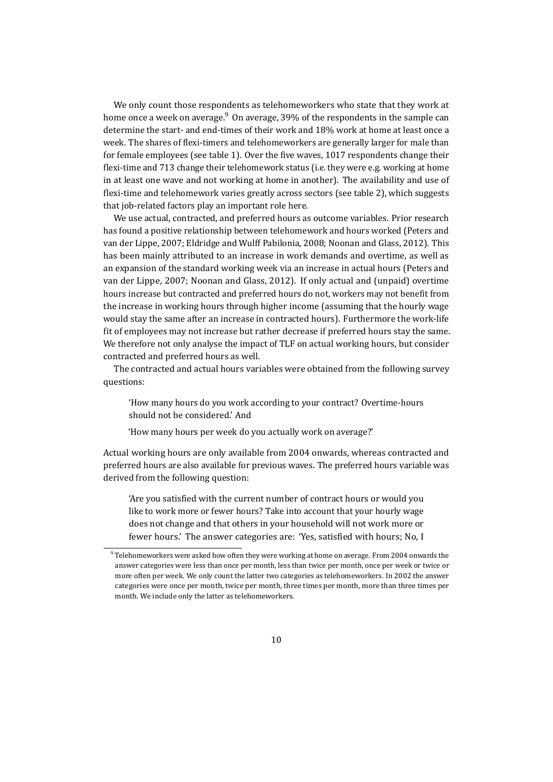We only count those respondents as telehomeworkers who state that they work at home once a week on average. $9$  On average, 39% of the respondents in the sample can determine the start- and end-times of their work and 18% work at home at least once a week. The shares of flexi-timers and telehomeworkers are generally larger for male than for female employees (see table [1\)](#page-7-0). Over the five waves, 1017 respondents change their flexi-time and 713 change their telehomework status (i.e. they were e.g. working at home in at least one wave and not working at home in another). The availability and use of flexi-time and telehomework varies greatly across sectors (see table [2\)](#page-7-1), which suggests that job-related factors play an important role here.

We use actual, contracted, and preferred hours as outcome variables. Prior research has found a positive relationship between telehomework and hours worked (Peters and van der Lippe, [2007;](#page-25-5) Eldridge and Wulff Pabilonia, [2008;](#page-23-5) Noonan and Glass, [2012\)](#page-24-8). This has been mainly attributed to an increase in work demands and overtime, as well as an expansion of the standard working week via an increase in actual hours (Peters and van der Lippe, [2007;](#page-25-5) Noonan and Glass, [2012\)](#page-24-8). If only actual and (unpaid) overtime hours increase but contracted and preferred hours do not, workers may not benefit from the increase in working hours through higher income (assuming that the hourly wage would stay the same after an increase in contracted hours). Furthermore the work-life fit of employees may not increase but rather decrease if preferred hours stay the same. We therefore not only analyse the impact of TLF on actual working hours, but consider contracted and preferred hours as well.

The contracted and actual hours variables were obtained from the following survey questions:

'How many hours do you work according to your contract? Overtime-hours should not be considered.' And

'How many hours per week do you actually work on average?'

Actual working hours are only available from 2004 onwards, whereas contracted and preferred hours are also available for previous waves. The preferred hours variable was derived from the following question:

'Are you satisfied with the current number of contract hours or would you like to work more or fewer hours? Take into account that your hourly wage does not change and that others in your household will not work more or fewer hours.' The answer categories are: 'Yes, satisfied with hours; No, I

<span id="page-9-0"></span><sup>9</sup> Telehomeworkers were asked how often they were working at home on average. From 2004 onwards the answer categories were less than once per month, less than twice per month, once per week or twice or more often per week. We only count the latter two categories as telehomeworkers. In 2002 the answer categories were once per month, twice per month, three times per month, more than three times per month. We include only the latter as telehomeworkers.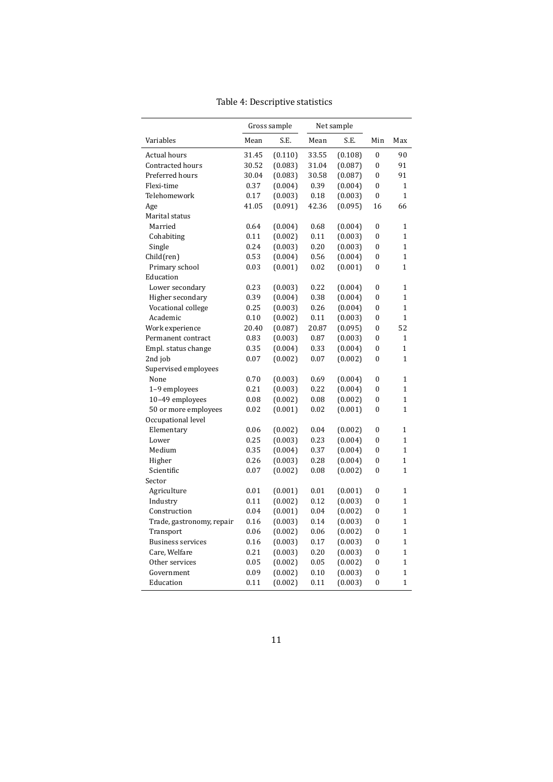<span id="page-10-0"></span>

|                           |       | Gross sample |       | Net sample |                  |                |
|---------------------------|-------|--------------|-------|------------|------------------|----------------|
| Variables                 | Mean  | S.E.         | Mean  | S.E.       | Min              | Max            |
| Actual hours              | 31.45 | (0.110)      | 33.55 | (0.108)    | $\mathbf{0}$     | 90             |
| <b>Contracted hours</b>   | 30.52 | (0.083)      | 31.04 | (0.087)    | $\bf{0}$         | 91             |
| Preferred hours           | 30.04 | (0.083)      | 30.58 | (0.087)    | $\overline{0}$   | 91             |
| Flexi-time                | 0.37  | (0.004)      | 0.39  | (0.004)    | $\boldsymbol{0}$ | 1              |
| Telehomework              | 0.17  | (0.003)      | 0.18  | (0.003)    | $\bf{0}$         | $\mathbf{1}$   |
| Age                       | 41.05 | (0.091)      | 42.36 | (0.095)    | 16               | 66             |
| Marital status            |       |              |       |            |                  |                |
| Married                   | 0.64  | (0.004)      | 0.68  | (0.004)    | $\mathbf{0}$     | $\mathbf{1}$   |
| Cohabiting                | 0.11  | (0.002)      | 0.11  | (0.003)    | $\boldsymbol{0}$ | $\mathbf{1}$   |
| Single                    | 0.24  | (0.003)      | 0.20  | (0.003)    | $\bf{0}$         | $\mathbf{1}$   |
| Child(ren)                | 0.53  | (0.004)      | 0.56  | (0.004)    | $\bf{0}$         | $\mathbf{1}$   |
| Primary school            | 0.03  | (0.001)      | 0.02  | (0.001)    | 0                | $\mathbf{1}$   |
| Education                 |       |              |       |            |                  |                |
| Lower secondary           | 0.23  | (0.003)      | 0.22  | (0.004)    | $\boldsymbol{0}$ | 1              |
| Higher secondary          | 0.39  | (0.004)      | 0.38  | (0.004)    | $\mathbf{0}$     | $\mathbf{1}$   |
| Vocational college        | 0.25  | (0.003)      | 0.26  | (0.004)    | $\bf{0}$         | $\mathbf{1}$   |
| Academic                  | 0.10  | (0.002)      | 0.11  | (0.003)    | 0                | $\mathbf{1}$   |
| Work experience           | 20.40 | (0.087)      | 20.87 | (0.095)    | $\bf{0}$         | 52             |
| Permanent contract        | 0.83  | (0.003)      | 0.87  | (0.003)    | $\boldsymbol{0}$ | 1              |
| Empl. status change       | 0.35  | (0.004)      | 0.33  | (0.004)    | $\bf{0}$         | $\mathbf{1}$   |
| 2nd job                   | 0.07  | (0.002)      | 0.07  | (0.002)    | $\bf{0}$         | $\mathbf{1}$   |
| Supervised employees      |       |              |       |            |                  |                |
| None                      | 0.70  | (0.003)      | 0.69  | (0.004)    | $\mathbf{0}$     | $\mathbf{1}$   |
| 1-9 employees             | 0.21  | (0.003)      | 0.22  | (0.004)    | 0                | 1              |
| 10-49 employees           | 0.08  | (0.002)      | 0.08  | (0.002)    | $\bf{0}$         | $\mathbf{1}$   |
| 50 or more employees      | 0.02  | (0.001)      | 0.02  | (0.001)    | $\bf{0}$         | $\mathbf{1}$   |
| Occupational level        |       |              |       |            |                  |                |
| Elementary                | 0.06  | (0.002)      | 0.04  | (0.002)    | $\mathbf{0}$     | $\mathbf{1}$   |
| Lower                     | 0.25  | (0.003)      | 0.23  | (0.004)    | $\bf{0}$         | $\mathbf{1}$   |
| Medium                    | 0.35  | (0.004)      | 0.37  | (0.004)    | $\theta$         | 1              |
| Higher                    | 0.26  | (0.003)      | 0.28  | (0.004)    | $\bf{0}$         | $\mathbf{1}$   |
| Scientific                | 0.07  | (0.002)      | 0.08  | (0.002)    | 0                | 1              |
| Sector                    |       |              |       |            |                  |                |
| Agriculture               | 0.01  | (0.001)      | 0.01  | (0.001)    | $\boldsymbol{0}$ | 1              |
| Industry                  | 0.11  | (0.002)      | 0.12  | (0.003)    | $\boldsymbol{0}$ | $\mathbf{1}$   |
| Construction              | 0.04  | (0.001)      | 0.04  | (0.002)    | $\bf{0}$         | $\mathbf{1}$   |
| Trade, gastronomy, repair | 0.16  | (0.003)      | 0.14  | (0.003)    | $\bf{0}$         | $\mathbf{1}$   |
| Transport                 | 0.06  | (0.002)      | 0.06  | (0.002)    | $\bf{0}$         | $\mathbf{1}$   |
| <b>Business services</b>  | 0.16  | (0.003)      | 0.17  | (0.003)    | $\mathbf{0}$     | $\mathbf{1}$   |
| Care, Welfare             | 0.21  | (0.003)      | 0.20  | (0.003)    | $\boldsymbol{0}$ | $\mathbf{1}$   |
| Other services            | 0.05  | (0.002)      | 0.05  | (0.002)    | $\bf{0}$         | $\mathbf{1}$   |
| Government                | 0.09  | (0.002)      | 0.10  | (0.003)    | $\overline{0}$   | 1              |
| Education                 | 0.11  | (0.002)      | 0.11  | (0.003)    | $\overline{0}$   | $\overline{1}$ |

Table 4: Descriptive statistics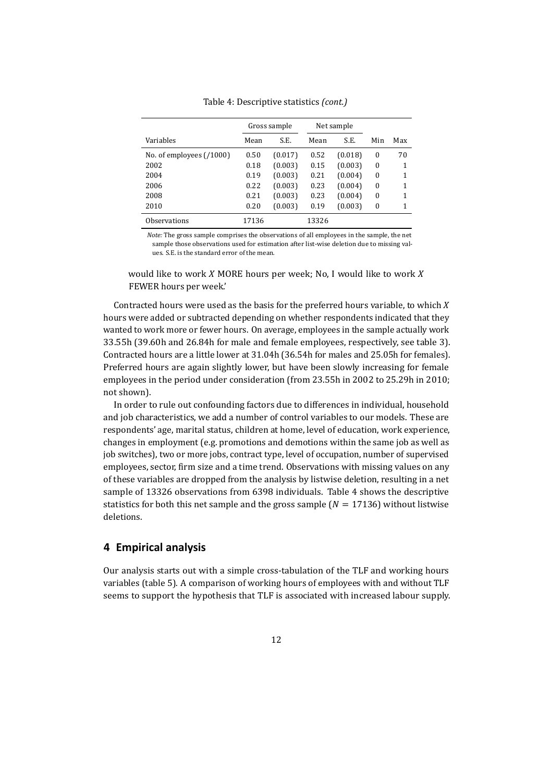|                           |       | Gross sample |       | Net sample |                  |     |
|---------------------------|-------|--------------|-------|------------|------------------|-----|
| Variables                 | Mean  | S.E.         | Mean  | S.E.       | Min              | Max |
| No. of employees $(1000)$ | 0.50  | (0.017)      | 0.52  | (0.018)    | 0                | 70  |
| 2002                      | 0.18  | (0.003)      | 0.15  | (0.003)    | $\Omega$         | 1   |
| 2004                      | 0.19  | (0.003)      | 0.21  | (0.004)    | $\Omega$         | 1   |
| 2006                      | 0.22  | (0.003)      | 0.23  | (0.004)    | $\Omega$         | 1   |
| 2008                      | 0.21  | (0.003)      | 0.23  | (0.004)    | $\Omega$         | 1   |
| 2010                      | 0.20  | (0.003)      | 0.19  | (0.003)    | $\boldsymbol{0}$ | 1   |
| Observations              | 17136 |              | 13326 |            |                  |     |

Table 4: Descriptive statistics *(cont.)*

*Note:* The gross sample comprises the observations of all employees in the sample, the net sample those observations used for estimation after list-wise deletion due to missing values. S.E. is the standard error of the mean.

would like to work *X* MORE hours per week; No, I would like to work *X* FEWER hours per week.'

Contracted hours were used as the basis for the preferred hours variable, to which *X* hours were added or subtracted depending on whether respondents indicated that they wanted to work more or fewer hours. On average, employees in the sample actually work 33.55h (39.60h and 26.84h for male and female employees, respectively, see table [3\)](#page-8-3). Contracted hours are a little lower at 31.04h (36.54h for males and 25.05h for females). Preferred hours are again slightly lower, but have been slowly increasing for female employees in the period under consideration (from 23.55h in 2002 to 25.29h in 2010; not shown).

In order to rule out confounding factors due to differences in individual, household and job characteristics, we add a number of control variables to our models. These are respondents' age, marital status, children at home, level of education, work experience, changes in employment (e.g. promotions and demotions within the same job as well as job switches), two or more jobs, contract type, level of occupation, number of supervised employees, sector, firm size and a time trend. Observations with missing values on any of these variables are dropped from the analysis by listwise deletion, resulting in a net sample of 13326 observations from 6398 individuals. Table [4](#page-10-0) shows the descriptive statistics for both this net sample and the gross sample  $(N = 17136)$  without listwise deletions.

### **4 Empirical analysis**

Our analysis starts out with a simple cross-tabulation of the TLF and working hours variables (table [5\)](#page-12-0). A comparison of working hours of employees with and without TLF seems to support the hypothesis that TLF is associated with increased labour supply.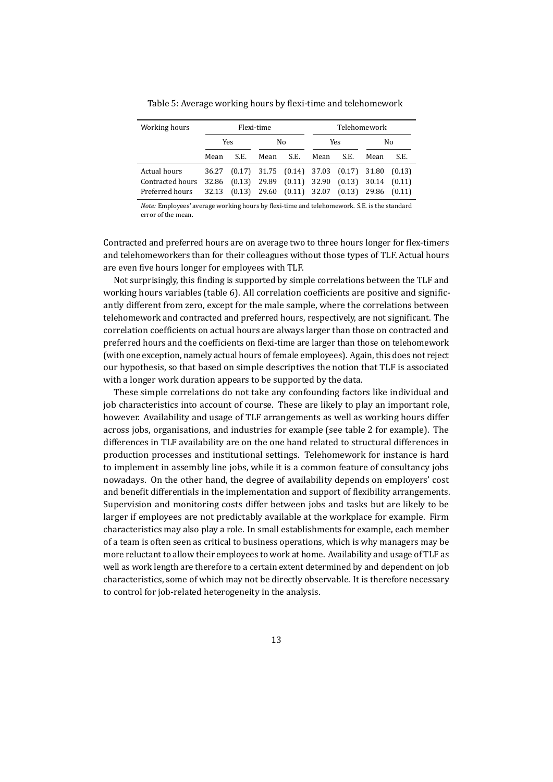<span id="page-12-0"></span>

| Working hours    |       |      | Flexi-time |                                                       |      |                         | Telehomework |      |
|------------------|-------|------|------------|-------------------------------------------------------|------|-------------------------|--------------|------|
|                  |       | Yes  |            | No                                                    |      | Yes                     |              | No   |
|                  | Mean  | S.E. | Mean       | S.E.                                                  | Mean | S.E.                    | Mean         | S.E. |
| Actual hours     | 36.27 |      |            | $(0.17)$ 31.75 $(0.14)$ 37.03 $(0.17)$ 31.80 $(0.13)$ |      |                         |              |      |
| Contracted hours |       |      |            | 32.86 (0.13) 29.89 (0.11) 32.90                       |      | $(0.13)$ 30.14 $(0.11)$ |              |      |
| Preferred hours  | 32.13 |      |            | $(0.13)$ 29.60 $(0.11)$ 32.07 $(0.13)$ 29.86 $(0.11)$ |      |                         |              |      |

Table 5: Average working hours by flexi-time and telehomework

*Note:* Employees' average working hours by flexi-time and telehomework. S.E. is the standard error of the mean.

Contracted and preferred hours are on average two to three hours longer for flex-timers and telehomeworkers than for their colleagues without those types of TLF. Actual hours are even five hours longer for employees with TLF.

Not surprisingly, this finding is supported by simple correlations between the TLF and working hours variables (table [6\)](#page-13-0). All correlation coefficients are positive and significantly different from zero, except for the male sample, where the correlations between telehomework and contracted and preferred hours, respectively, are not significant. The correlation coefficients on actual hours are always larger than those on contracted and preferred hours and the coefficients on flexi-time are larger than those on telehomework (with one exception, namely actual hours of female employees). Again, this does not reject our hypothesis, so that based on simple descriptives the notion that TLF is associated with a longer work duration appears to be supported by the data.

These simple correlations do not take any confounding factors like individual and job characteristics into account of course. These are likely to play an important role, however. Availability and usage of TLF arrangements as well as working hours differ across jobs, organisations, and industries for example (see table [2](#page-7-1) for example). The differences in TLF availability are on the one hand related to structural differences in production processes and institutional settings. Telehomework for instance is hard to implement in assembly line jobs, while it is a common feature of consultancy jobs nowadays. On the other hand, the degree of availability depends on employers' cost and benefit differentials in the implementation and support of flexibility arrangements. Supervision and monitoring costs differ between jobs and tasks but are likely to be larger if employees are not predictably available at the workplace for example. Firm characteristics may also play a role. In small establishments for example, each member of a team is often seen as critical to business operations, which is why managers may be more reluctant to allow their employees to work at home. Availability and usage of TLF as well as work length are therefore to a certain extent determined by and dependent on job characteristics, some of which may not be directly observable. It is therefore necessary to control for job-related heterogeneity in the analysis.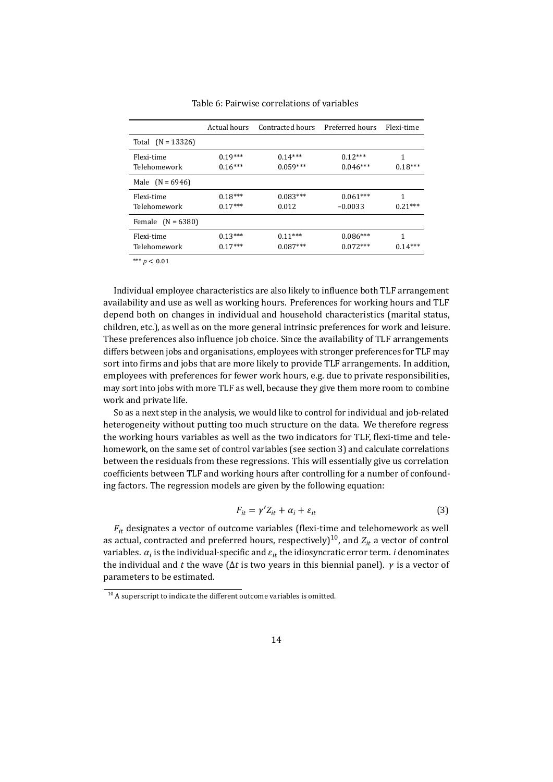<span id="page-13-0"></span>

|                            | Actual hours           | Contracted hours        | Preferred hours          | Flexi-time     |
|----------------------------|------------------------|-------------------------|--------------------------|----------------|
| Total $(N = 13326)$        |                        |                         |                          |                |
| Flexi-time<br>Telehomework | $0.19***$<br>$0.16***$ | $0.14***$<br>$0.059***$ | $0.12***$<br>$0.046***$  | 1<br>$0.18***$ |
| Male $(N = 6946)$          |                        |                         |                          |                |
| Flexi-time<br>Telehomework | $0.18***$<br>$0.17***$ | $0.083***$<br>0.012     | $0.061***$<br>$-0.0033$  | 1<br>$0.21***$ |
| Female $(N = 6380)$        |                        |                         |                          |                |
| Flexi-time<br>Telehomework | $0.13***$<br>$0.17***$ | $0.11***$<br>$0.087***$ | $0.086***$<br>$0.072***$ | 1<br>$0.14***$ |

Table 6: Pairwise correlations of variables

\*\*\* *p* < 0.01

Individual employee characteristics are also likely to influence both TLF arrangement availability and use as well as working hours. Preferences for working hours and TLF depend both on changes in individual and household characteristics (marital status, children, etc.), as well as on the more general intrinsic preferences for work and leisure. These preferences also influence job choice. Since the availability of TLF arrangements differs between jobs and organisations, employees with stronger preferences for TLF may sort into firms and jobs that are more likely to provide TLF arrangements. In addition, employees with preferences for fewer work hours, e.g. due to private responsibilities, may sort into jobs with more TLF as well, because they give them more room to combine work and private life.

So as a next step in the analysis, we would like to control for individual and job-related heterogeneity without putting too much structure on the data. We therefore regress the working hours variables as well as the two indicators for TLF, flexi-time and telehomework, on the same set of control variables (see section [3\)](#page-8-4) and calculate correlations between the residuals from these regressions. This will essentially give us correlation coefficients between TLF and working hours after controlling for a number of confounding factors. The regression models are given by the following equation:

<span id="page-13-2"></span>
$$
F_{it} = \gamma' Z_{it} + \alpha_i + \varepsilon_{it} \tag{3}
$$

*Fit* designates a vector of outcome variables (flexi-time and telehomework as well as actual, contracted and preferred hours, respectively)<sup>[10](#page-13-1)</sup>, and  $Z_{it}$  a vector of control variables.  $\alpha_i$  is the individual-specific and  $\varepsilon_{it}$  the idiosyncratic error term. *i* denominates the individual and *t* the wave ( $\Delta t$  is two years in this biennial panel).  $\gamma$  is a vector of parameters to be estimated.

<span id="page-13-1"></span> $10$  A superscript to indicate the different outcome variables is omitted.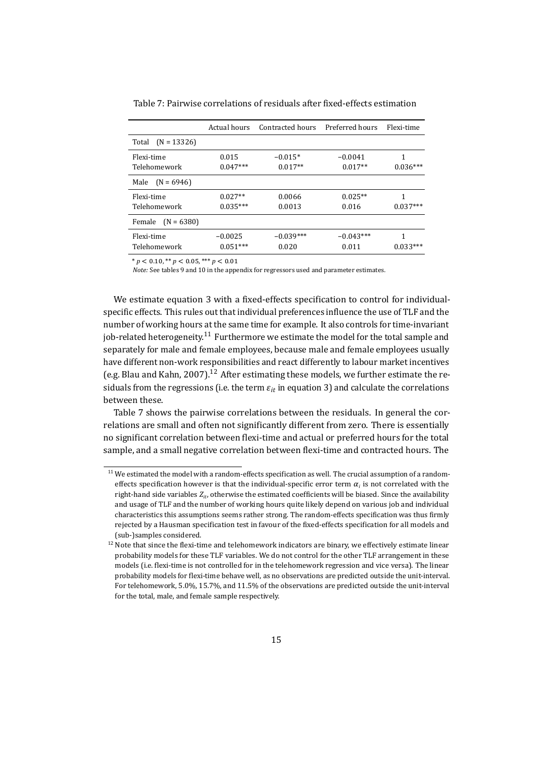|                            | Actual hours            | Contracted hours       | Preferred hours        | Flexi-time      |
|----------------------------|-------------------------|------------------------|------------------------|-----------------|
| Total $(N = 13326)$        |                         |                        |                        |                 |
| Flexi-time<br>Telehomework | 0.015<br>$0.047***$     | $-0.015*$<br>$0.017**$ | $-0.0041$<br>$0.017**$ | 1<br>$0.036***$ |
| $(N = 6946)$<br>Male       |                         |                        |                        |                 |
| Flexi-time<br>Telehomework | $0.027**$<br>$0.035***$ | 0.0066<br>0.0013       | $0.025**$<br>0.016     | 1<br>$0.037***$ |
| Female<br>$(N = 6380)$     |                         |                        |                        |                 |
| Flexi-time<br>Telehomework | $-0.0025$<br>$0.051***$ | $-0.039***$<br>0.020   | $-0.043***$<br>0.011   | 1<br>$0.033***$ |

<span id="page-14-2"></span>Table 7: Pairwise correlations of residuals after fixed-effects estimation

 $* p < 0.10$ ,  $* p < 0.05$ ,  $* * p < 0.01$ 

*Note:* See tables [9](#page-27-0) and [10](#page-30-0) in the appendix for regressors used and parameter estimates.

We estimate equation [3](#page-13-2) with a fixed-effects specification to control for individualspecific effects. This rules out that individual preferences influence the use of TLF and the number of working hours at the same time for example. It also controls for time-invariant job-related heterogeneity.<sup>[11](#page-14-0)</sup> Furthermore we estimate the model for the total sample and separately for male and female employees, because male and female employees usually have different non-work responsibilities and react differently to labour market incentives (e.g. Blau and Kahn, [2007\)](#page-22-6).<sup>[12](#page-14-1)</sup> After estimating these models, we further estimate the residuals from the regressions (i.e. the term  $\varepsilon_{it}$  in equation [3\)](#page-13-2) and calculate the correlations between these.

Table [7](#page-14-2) shows the pairwise correlations between the residuals. In general the correlations are small and often not significantly different from zero. There is essentially no significant correlation between flexi-time and actual or preferred hours for the total sample, and a small negative correlation between flexi-time and contracted hours. The

<span id="page-14-0"></span> $11$  We estimated the model with a random-effects specification as well. The crucial assumption of a randomeffects specification however is that the individual-specific error term  $\alpha_i$  is not correlated with the right-hand side variables  $Z_i$ , otherwise the estimated coefficients will be biased. Since the availability and usage of TLF and the number of working hours quite likely depend on various job and individual characteristics this assumptions seems rather strong. The random-effects specification was thus firmly rejected by a Hausman specification test in favour of the fixed-effects specification for all models and (sub-)samples considered.

<span id="page-14-1"></span><sup>&</sup>lt;sup>12</sup> Note that since the flexi-time and telehomework indicators are binary, we effectively estimate linear probability models for these TLF variables. We do not control for the other TLF arrangement in these models (i.e. flexi-time is not controlled for in the telehomework regression and vice versa). The linear probability models for flexi-time behave well, as no observations are predicted outside the unit-interval. For telehomework, 5.0%, 15.7%, and 11.5% of the observations are predicted outside the unit-interval for the total, male, and female sample respectively.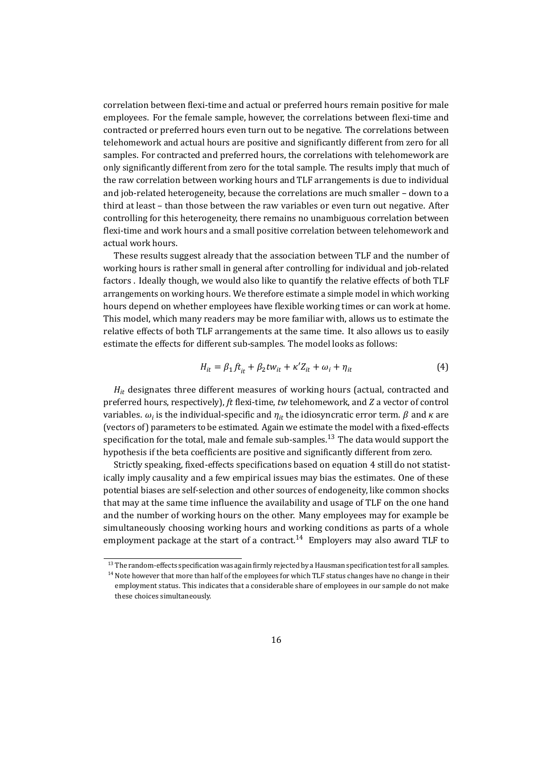correlation between flexi-time and actual or preferred hours remain positive for male employees. For the female sample, however, the correlations between flexi-time and contracted or preferred hours even turn out to be negative. The correlations between telehomework and actual hours are positive and significantly different from zero for all samples. For contracted and preferred hours, the correlations with telehomework are only significantly different from zero for the total sample. The results imply that much of the raw correlation between working hours and TLF arrangements is due to individual and job-related heterogeneity, because the correlations are much smaller – down to a third at least – than those between the raw variables or even turn out negative. After controlling for this heterogeneity, there remains no unambiguous correlation between flexi-time and work hours and a small positive correlation between telehomework and actual work hours.

These results suggest already that the association between TLF and the number of working hours is rather small in general after controlling for individual and job-related factors . Ideally though, we would also like to quantify the relative effects of both TLF arrangements on working hours. We therefore estimate a simple model in which working hours depend on whether employees have flexible working times or can work at home. This model, which many readers may be more familiar with, allows us to estimate the relative effects of both TLF arrangements at the same time. It also allows us to easily estimate the effects for different sub-samples. The model looks as follows:

<span id="page-15-1"></span>
$$
H_{it} = \beta_1 f t_{it} + \beta_2 t w_{it} + \kappa' Z_{it} + \omega_i + \eta_{it}
$$
\n<sup>(4)</sup>

*Hit* designates three different measures of working hours (actual, contracted and preferred hours, respectively), *ft* flexi-time, *tw* telehomework, and *Z* a vector of control variables.  $\omega_i$  is the individual-specific and  $\eta_{it}$  the idiosyncratic error term.  $\beta$  and  $\kappa$  are (vectors of) parameters to be estimated. Again we estimate the model with a fixed-effects specification for the total, male and female sub-samples.<sup>[13](#page-15-0)</sup> The data would support the hypothesis if the beta coefficients are positive and significantly different from zero.

Strictly speaking, fixed-effects specifications based on equation [4](#page-15-1) still do not statistically imply causality and a few empirical issues may bias the estimates. One of these potential biases are self-selection and other sources of endogeneity, like common shocks that may at the same time influence the availability and usage of TLF on the one hand and the number of working hours on the other. Many employees may for example be simultaneously choosing working hours and working conditions as parts of a whole employment package at the start of a contract.<sup>[14](#page-15-2)</sup> Employers may also award TLF to

<span id="page-15-0"></span><sup>&</sup>lt;sup>13</sup> The random-effects specification was again firmly rejected by a Hausman specification test for all samples.

<span id="page-15-2"></span><sup>&</sup>lt;sup>14</sup> Note however that more than half of the employees for which TLF status changes have no change in their employment status. This indicates that a considerable share of employees in our sample do not make these choices simultaneously.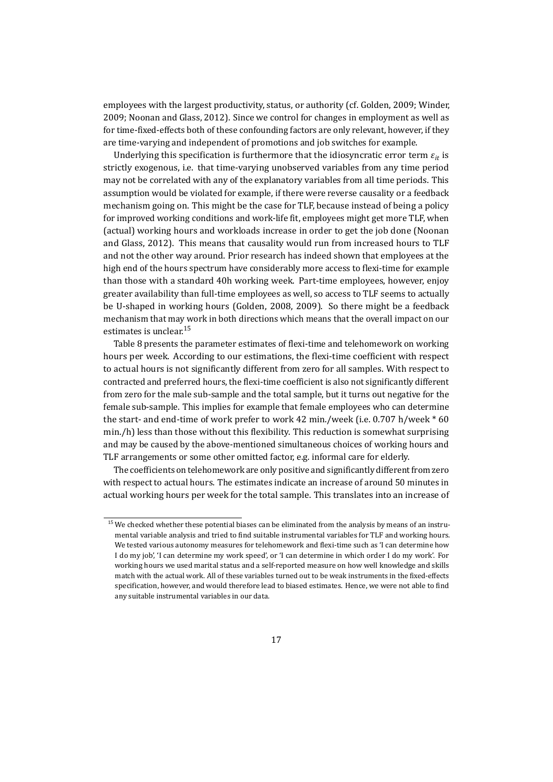employees with the largest productivity, status, or authority (cf. Golden, [2009;](#page-24-9) Winder, [2009;](#page-26-0) Noonan and Glass, [2012\)](#page-24-8). Since we control for changes in employment as well as for time-fixed-effects both of these confounding factors are only relevant, however, if they are time-varying and independent of promotions and job switches for example.

Underlying this specification is furthermore that the idiosyncratic error term  $\varepsilon_{it}$  is strictly exogenous, i.e. that time-varying unobserved variables from any time period may not be correlated with any of the explanatory variables from all time periods. This assumption would be violated for example, if there were reverse causality or a feedback mechanism going on. This might be the case for TLF, because instead of being a policy for improved working conditions and work-life fit, employees might get more TLF, when (actual) working hours and workloads increase in order to get the job done (Noonan and Glass, [2012\)](#page-24-8). This means that causality would run from increased hours to TLF and not the other way around. Prior research has indeed shown that employees at the high end of the hours spectrum have considerably more access to flexi-time for example than those with a standard 40h working week. Part-time employees, however, enjoy greater availability than full-time employees as well, so access to TLF seems to actually be U-shaped in working hours (Golden, [2008,](#page-24-10) [2009\)](#page-24-9). So there might be a feedback mechanism that may work in both directions which means that the overall impact on our estimates is unclear.<sup>[15](#page-16-0)</sup>

Table [8](#page-17-0) presents the parameter estimates of flexi-time and telehomework on working hours per week. According to our estimations, the flexi-time coefficient with respect to actual hours is not significantly different from zero for all samples. With respect to contracted and preferred hours, the flexi-time coefficient is also not significantly different from zero for the male sub-sample and the total sample, but it turns out negative for the female sub-sample. This implies for example that female employees who can determine the start- and end-time of work prefer to work 42 min./week (i.e. 0.707 h/week \* 60 min./h) less than those without this flexibility. This reduction is somewhat surprising and may be caused by the above-mentioned simultaneous choices of working hours and TLF arrangements or some other omitted factor, e.g. informal care for elderly.

The coefficients on telehomework are only positive and significantly different from zero with respect to actual hours. The estimates indicate an increase of around 50 minutes in actual working hours per week for the total sample. This translates into an increase of

<span id="page-16-0"></span><sup>&</sup>lt;sup>15</sup> We checked whether these potential biases can be eliminated from the analysis by means of an instrumental variable analysis and tried to find suitable instrumental variables for TLF and working hours. We tested various autonomy measures for telehomework and flexi-time such as 'I can determine how I do my job', 'I can determine my work speed', or 'I can determine in which order I do my work'. For working hours we used marital status and a self-reported measure on how well knowledge and skills match with the actual work. All of these variables turned out to be weak instruments in the fixed-effects specification, however, and would therefore lead to biased estimates. Hence, we were not able to find any suitable instrumental variables in our data.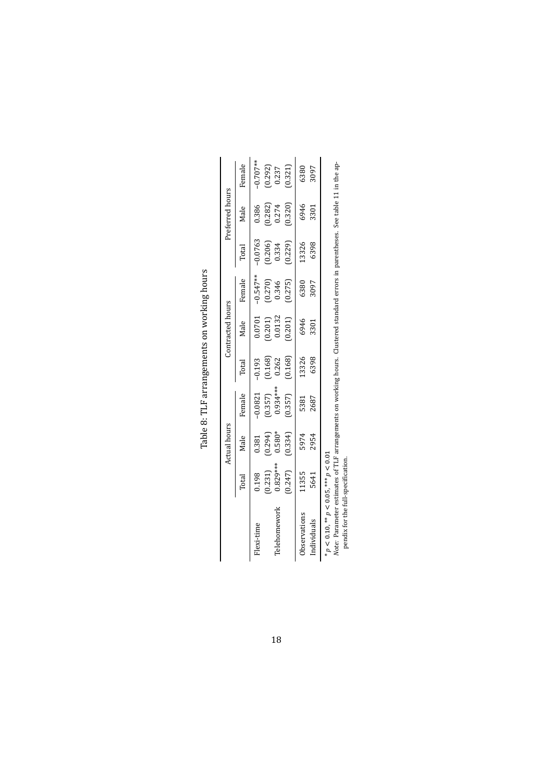<span id="page-17-0"></span>

|                                                    |                                                                           | Actual hours                                                          |                                                   |                                               | Contracted hours                                                      |                                               |                                                                       | Preferred hours                                                   |                                                            |
|----------------------------------------------------|---------------------------------------------------------------------------|-----------------------------------------------------------------------|---------------------------------------------------|-----------------------------------------------|-----------------------------------------------------------------------|-----------------------------------------------|-----------------------------------------------------------------------|-------------------------------------------------------------------|------------------------------------------------------------|
|                                                    | Total                                                                     | Male                                                                  | Female                                            | Total                                         | Male                                                                  | Female                                        | Total                                                                 | Male                                                              | Female                                                     |
| Flexi-time                                         |                                                                           |                                                                       |                                                   |                                               |                                                                       |                                               |                                                                       |                                                                   | $-0.707**$                                                 |
|                                                    |                                                                           |                                                                       |                                                   |                                               |                                                                       |                                               |                                                                       |                                                                   |                                                            |
| Telehomework                                       |                                                                           |                                                                       |                                                   |                                               |                                                                       |                                               |                                                                       |                                                                   |                                                            |
|                                                    | $\begin{array}{c} 0.198 \\ (0.231) \\ 0.829^{***} \\ (0.247) \end{array}$ | $\begin{array}{c} 0.381 \\ (0.294) \\ 0.580^* \\ (0.334) \end{array}$ | $-0.0821$<br>$(0.357)$<br>$0.934***$<br>$(0.357)$ | $-0.193$<br>$(0.168)$<br>$0.262$<br>$(0.168)$ | $\begin{array}{c} 0.0701 \\ (0.201) \\ 0.0132 \\ (0.201) \end{array}$ | $-0.547**$<br>$(0.270)$<br>$0.346$<br>$0.275$ | $\begin{array}{c} -0.0763 \\ (0.206) \\ 0.334 \\ (0.229) \end{array}$ | $\begin{array}{c} 0.386 \\ (0.282) \\ 0.274 \\ 0.320 \end{array}$ | $\begin{array}{c} (0.292) \\ 0.237 \\ (0.321) \end{array}$ |
| Observations                                       | 11355                                                                     |                                                                       |                                                   | 13326                                         |                                                                       | 6380                                          | 13326                                                                 |                                                                   |                                                            |
| Individuals                                        | 5641                                                                      | 5974<br>2954                                                          | 5381<br>2687                                      | 6398                                          | 6946<br>3301                                                          | 3097                                          | 6398                                                                  | 6946<br>3301                                                      | 6380<br>3097                                               |
| t U U _ _ _ s *** LU U _ _ _ s ** U U _ U _ _ s ** |                                                                           |                                                                       |                                                   |                                               |                                                                       |                                               |                                                                       |                                                                   |                                                            |

Table 8: TLF arrangements on working hours Table 8: TLF arrangements on working hours

\*  $p$  < 0.10, \*\*  $p$  < 0.05, \*\*\*  $p$  < 0.01<br>Note: Parameter estimates of TLF arrangements on working hours. Clustered standard errors in parentheses. See table 11 in the appendix for the full-specification. *p* < 0.10, \*\* *p* < 0.05, \*\*\* *p* < 0.01 *Note:* Parameter estimates of TLF arrangements on working hours. Clustered standard errors in parentheses. See table 11 in the appendix for the full-specification.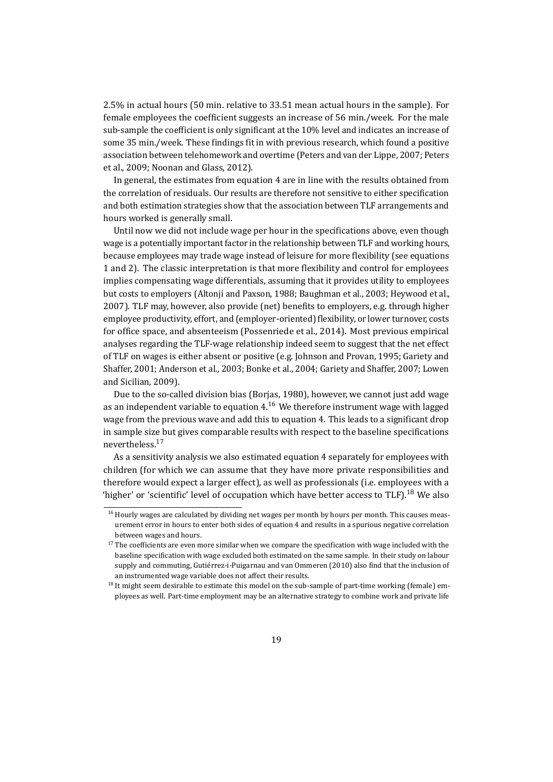2.5% in actual hours (50 min. relative to 33.51 mean actual hours in the sample). For female employees the coefficient suggests an increase of 56 min./week. For the male sub-sample the coefficient is only significant at the 10% level and indicates an increase of some 35 min./week. These findings fit in with previous research, which found a positive association between telehomework and overtime (Peters and van der Lippe, [2007;](#page-25-5) Peters et al., [2009;](#page-25-6) Noonan and Glass, [2012\)](#page-24-8).

In general, the estimates from equation [4](#page-15-1) are in line with the results obtained from the correlation of residuals. Our results are therefore not sensitive to either specification and both estimation strategies show that the association between TLF arrangements and hours worked is generally small.

Until now we did not include wage per hour in the specifications above, even though wage is a potentially important factor in the relationship between TLF and working hours, because employees may trade wage instead of leisure for more flexibility (see equations [1](#page-5-0) and [2\)](#page-6-0). The classic interpretation is that more flexibility and control for employees implies compensating wage differentials, assuming that it provides utility to employees but costs to employers (Altonji and Paxson, [1988;](#page-22-4) Baughman et al., [2003;](#page-22-5) Heywood et al., [2007\)](#page-24-7). TLF may, however, also provide (net) benefits to employers, e.g. through higher employee productivity, effort, and (employer-oriented) flexibility, or lower turnover, costs for office space, and absenteeism (Possenriede et al., [2014\)](#page-25-7). Most previous empirical analyses regarding the TLF-wage relationship indeed seem to suggest that the net effect of TLF on wages is either absent or positive (e.g. Johnson and Provan, [1995;](#page-24-11) Gariety and Shaffer, [2001;](#page-23-6) Anderson et al., [2003;](#page-22-7) Bonke et al., [2004;](#page-22-8) Gariety and Shaffer, [2007;](#page-23-7) Lowen and Sicilian, [2009\)](#page-24-12).

Due to the so-called division bias (Borjas, [1980\)](#page-22-9), however, we cannot just add wage as an independent variable to equation  $4<sup>16</sup>$  $4<sup>16</sup>$  $4<sup>16</sup>$  We therefore instrument wage with lagged wage from the previous wave and add this to equation [4.](#page-15-1) This leads to a significant drop in sample size but gives comparable results with respect to the baseline specifications nevertheless.[17](#page-18-1)

As a sensitivity analysis we also estimated equation [4](#page-15-1) separately for employees with children (for which we can assume that they have more private responsibilities and therefore would expect a larger effect), as well as professionals (i.e. employees with a 'higher' or 'scientific' level of occupation which have better access to TLF).<sup>[18](#page-18-2)</sup> We also

<span id="page-18-0"></span><sup>&</sup>lt;sup>16</sup> Hourly wages are calculated by dividing net wages per month by hours per month. This causes measurement error in hours to enter both sides of equation [4](#page-15-1) and results in a spurious negative correlation between wages and hours.

<span id="page-18-1"></span> $17$  The coefficients are even more similar when we compare the specification with wage included with the baseline specification with wage excluded both estimated on the same sample. In their study on labour supply and commuting, Gutiérrez-i-Puigarnau and van Ommeren [\(2010\)](#page-24-1) also find that the inclusion of an instrumented wage variable does not affect their results.

<span id="page-18-2"></span><sup>&</sup>lt;sup>18</sup> It might seem desirable to estimate this model on the sub-sample of part-time working (female) employees as well. Part-time employment may be an alternative strategy to combine work and private life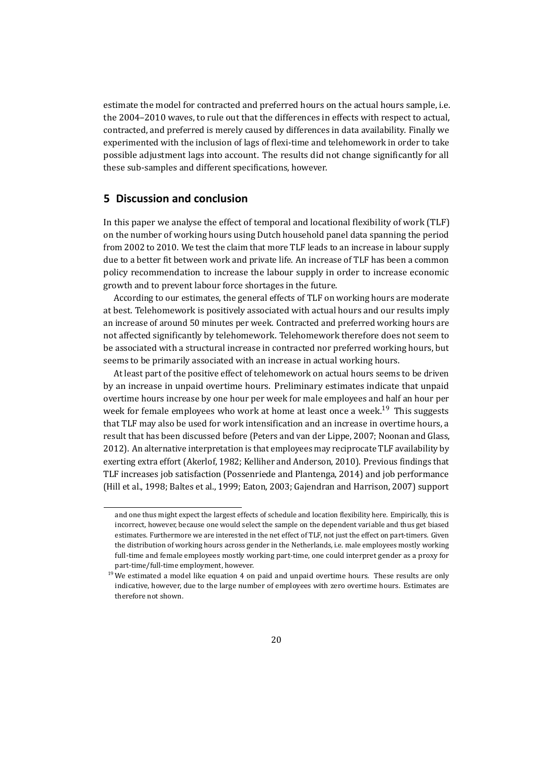estimate the model for contracted and preferred hours on the actual hours sample, i.e. the 2004–2010 waves, to rule out that the differences in effects with respect to actual, contracted, and preferred is merely caused by differences in data availability. Finally we experimented with the inclusion of lags of flexi-time and telehomework in order to take possible adjustment lags into account. The results did not change significantly for all these sub-samples and different specifications, however.

# **5 Discussion and conclusion**

In this paper we analyse the effect of temporal and locational flexibility of work (TLF) on the number of working hours using Dutch household panel data spanning the period from 2002 to 2010. We test the claim that more TLF leads to an increase in labour supply due to a better fit between work and private life. An increase of TLF has been a common policy recommendation to increase the labour supply in order to increase economic growth and to prevent labour force shortages in the future.

According to our estimates, the general effects of TLF on working hours are moderate at best. Telehomework is positively associated with actual hours and our results imply an increase of around 50 minutes per week. Contracted and preferred working hours are not affected significantly by telehomework. Telehomework therefore does not seem to be associated with a structural increase in contracted nor preferred working hours, but seems to be primarily associated with an increase in actual working hours.

At least part of the positive effect of telehomework on actual hours seems to be driven by an increase in unpaid overtime hours. Preliminary estimates indicate that unpaid overtime hours increase by one hour per week for male employees and half an hour per week for female employees who work at home at least once a week.<sup>[19](#page-19-0)</sup> This suggests that TLF may also be used for work intensification and an increase in overtime hours, a result that has been discussed before (Peters and van der Lippe, [2007;](#page-25-5) Noonan and Glass, [2012\)](#page-24-8). An alternative interpretation is that employees may reciprocate TLF availability by exerting extra effort (Akerlof, [1982;](#page-22-10) Kelliher and Anderson, [2010\)](#page-24-13). Previous findings that TLF increases job satisfaction (Possenriede and Plantenga, [2014\)](#page-25-8) and job performance (Hill et al., [1998;](#page-24-14) Baltes et al., [1999;](#page-22-11) Eaton, [2003;](#page-23-8) Gajendran and Harrison, [2007\)](#page-23-9) support

and one thus might expect the largest effects of schedule and location flexibility here. Empirically, this is incorrect, however, because one would select the sample on the dependent variable and thus get biased estimates. Furthermore we are interested in the net effect of TLF, not just the effect on part-timers. Given the distribution of working hours across gender in the Netherlands, i.e. male employees mostly working full-time and female employees mostly working part-time, one could interpret gender as a proxy for part-time/full-time employment, however.

<span id="page-19-0"></span> $19$  We estimated a model like equation [4](#page-15-1) on paid and unpaid overtime hours. These results are only indicative, however, due to the large number of employees with zero overtime hours. Estimates are therefore not shown.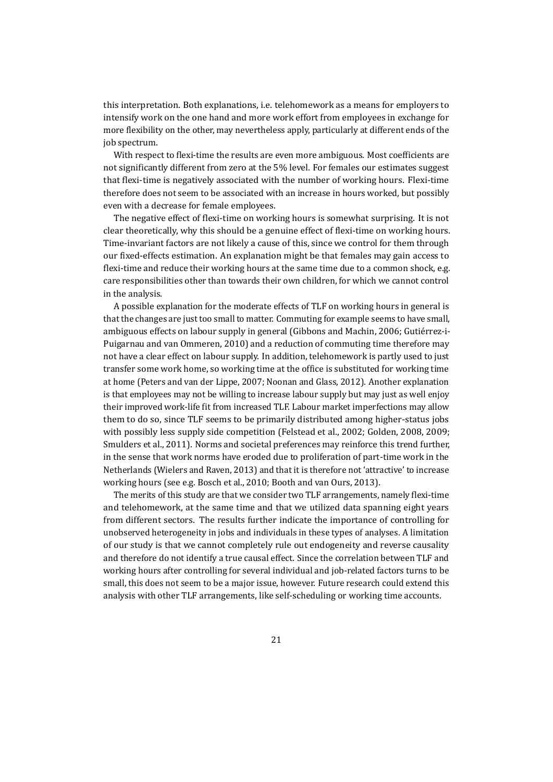this interpretation. Both explanations, i.e. telehomework as a means for employers to intensify work on the one hand and more work effort from employees in exchange for more flexibility on the other, may nevertheless apply, particularly at different ends of the job spectrum.

With respect to flexi-time the results are even more ambiguous. Most coefficients are not significantly different from zero at the 5% level. For females our estimates suggest that flexi-time is negatively associated with the number of working hours. Flexi-time therefore does not seem to be associated with an increase in hours worked, but possibly even with a decrease for female employees.

The negative effect of flexi-time on working hours is somewhat surprising. It is not clear theoretically, why this should be a genuine effect of flexi-time on working hours. Time-invariant factors are not likely a cause of this, since we control for them through our fixed-effects estimation. An explanation might be that females may gain access to flexi-time and reduce their working hours at the same time due to a common shock, e.g. care responsibilities other than towards their own children, for which we cannot control in the analysis.

A possible explanation for the moderate effects of TLF on working hours in general is that the changes are just too small to matter. Commuting for example seems to have small, ambiguous effects on labour supply in general (Gibbons and Machin, [2006;](#page-23-3) Gutiérrez-i-Puigarnau and van Ommeren, [2010\)](#page-24-1) and a reduction of commuting time therefore may not have a clear effect on labour supply. In addition, telehomework is partly used to just transfer some work home, so working time at the office is substituted for working time at home (Peters and van der Lippe, [2007;](#page-25-5) Noonan and Glass, [2012\)](#page-24-8). Another explanation is that employees may not be willing to increase labour supply but may just as well enjoy their improved work-life fit from increased TLF. Labour market imperfections may allow them to do so, since TLF seems to be primarily distributed among higher-status jobs with possibly less supply side competition (Felstead et al., [2002;](#page-23-10) Golden, [2008,](#page-24-10) [2009;](#page-24-9) Smulders et al., [2011\)](#page-25-9). Norms and societal preferences may reinforce this trend further, in the sense that work norms have eroded due to proliferation of part-time work in the Netherlands (Wielers and Raven, [2013\)](#page-25-10) and that it is therefore not 'attractive' to increase working hours (see e.g. Bosch et al., [2010;](#page-23-11) Booth and van Ours, [2013\)](#page-22-12).

The merits of this study are that we consider two TLF arrangements, namely flexi-time and telehomework, at the same time and that we utilized data spanning eight years from different sectors. The results further indicate the importance of controlling for unobserved heterogeneity in jobs and individuals in these types of analyses. A limitation of our study is that we cannot completely rule out endogeneity and reverse causality and therefore do not identify a true causal effect. Since the correlation between TLF and working hours after controlling for several individual and job-related factors turns to be small, this does not seem to be a major issue, however. Future research could extend this analysis with other TLF arrangements, like self-scheduling or working time accounts.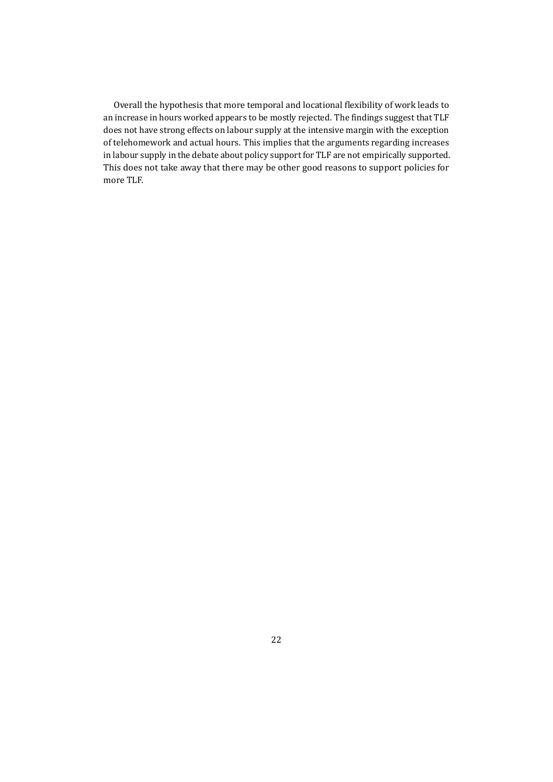Overall the hypothesis that more temporal and locational flexibility of work leads to an increase in hours worked appears to be mostly rejected. The findings suggest that TLF does not have strong effects on labour supply at the intensive margin with the exception of telehomework and actual hours. This implies that the arguments regarding increases in labour supply in the debate about policy support for TLF are not empirically supported. This does not take away that there may be other good reasons to support policies for more TLF.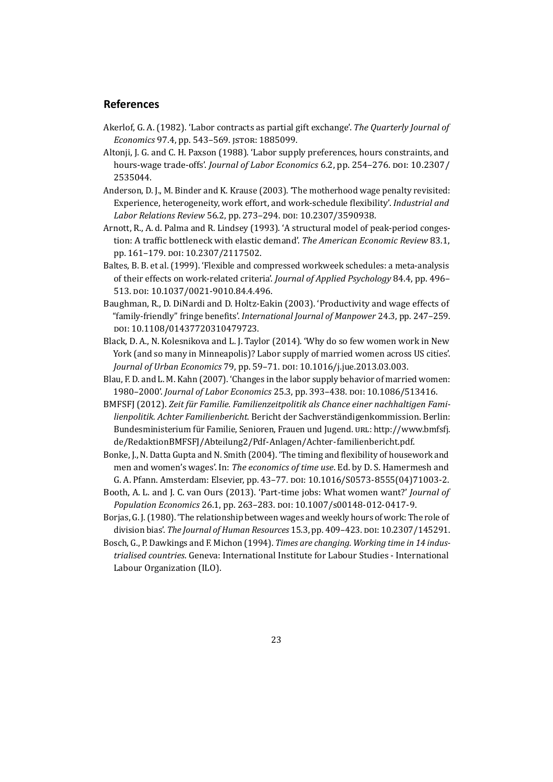#### **References**

- <span id="page-22-10"></span>Akerlof, G. A. (1982). 'Labor contracts as partial gift exchange'. *The Quarterly Journal of Economics* 97.4, pp. 543–569. JSTOR: [1885099.](http://www.jstor.org/stable/1885099)
- <span id="page-22-4"></span>Altonji, J. G. and C. H. Paxson (1988). 'Labor supply preferences, hours constraints, and hours-wage trade-offs'. *Journal of Labor Economics* 6.2, pp. 254–276. DOI: [10.2307/](http://dx.doi.org/10.2307/2535044) [2535044.](http://dx.doi.org/10.2307/2535044)
- <span id="page-22-7"></span>Anderson, D. J., M. Binder and K. Krause (2003). 'The motherhood wage penalty revisited: Experience, heterogeneity, work effort, and work-schedule flexibility'. *Industrial and Labor Relations Review* 56.2, pp. 273–294. DOI: [10.2307/3590938.](http://dx.doi.org/10.2307/3590938)
- <span id="page-22-1"></span>Arnott, R., A. d. Palma and R. Lindsey (1993). 'A structural model of peak-period congestion: A traffic bottleneck with elastic demand'. *The American Economic Review* 83.1, pp. 161–179. DOI: [10.2307/2117502.](http://dx.doi.org/10.2307/2117502)
- <span id="page-22-11"></span>Baltes, B. B. et al. (1999). 'Flexible and compressed workweek schedules: a meta-analysis of their effects on work-related criteria'. *Journal of Applied Psychology* 84.4, pp. 496– 513. DOI: [10.1037/0021-9010.84.4.496.](http://dx.doi.org/10.1037/0021-9010.84.4.496)
- <span id="page-22-5"></span>Baughman, R., D. DiNardi and D. Holtz-Eakin (2003). 'Productivity and wage effects of "family-friendly" fringe benefits'. *International Journal of Manpower* 24.3, pp. 247–259. DOI: [10.1108/01437720310479723.](http://dx.doi.org/10.1108/01437720310479723)
- <span id="page-22-2"></span>Black, D. A., N. Kolesnikova and L. J. Taylor (2014). 'Why do so few women work in New York (and so many in Minneapolis)? Labor supply of married women across US cities'. *Journal of Urban Economics* 79, pp. 59–71. DOI: [10.1016/j.jue.2013.03.003.](http://dx.doi.org/10.1016/j.jue.2013.03.003)
- <span id="page-22-6"></span>Blau, F. D. and L. M. Kahn (2007). 'Changes in the labor supply behavior of married women: 1980–2000'. *Journal of Labor Economics* 25.3, pp. 393–438. DOI: [10.1086/513416.](http://dx.doi.org/10.1086/513416)
- <span id="page-22-0"></span>BMFSFJ (2012). *Zeit für Familie. Familienzeitpolitik als Chance einer nachhaltigen Familienpolitik. Achter Familienbericht*. Bericht der Sachverständigenkommission. Berlin: Bundesministerium für Familie, Senioren, Frauen und Jugend. URL: [http://www.bmfsfj.](http://www.bmfsfj.de/RedaktionBMFSFJ/Abteilung2/Pdf-Anlagen/Achter-familienbericht.pdf) [de/RedaktionBMFSFJ/Abteilung2/Pdf-Anlagen/Achter-familienbericht.pdf.](http://www.bmfsfj.de/RedaktionBMFSFJ/Abteilung2/Pdf-Anlagen/Achter-familienbericht.pdf)
- <span id="page-22-8"></span>Bonke, J., N. Datta Gupta and N. Smith (2004). 'The timing and flexibility of housework and men and women's wages'. In: *The economics of time use*. Ed. by D. S. Hamermesh and G. A. Pfann. Amsterdam: Elsevier, pp. 43–77. DOI: [10.1016/S0573-8555\(04\)71003-2.](http://dx.doi.org/10.1016/S0573-8555(04)71003-2)
- <span id="page-22-12"></span>Booth, A. L. and J. C. van Ours (2013). 'Part-time jobs: What women want?' *Journal of Population Economics* 26.1, pp. 263–283. DOI: [10.1007/s00148-012-0417-9.](http://dx.doi.org/10.1007/s00148-012-0417-9)
- <span id="page-22-9"></span>Borjas, G. J. (1980). 'The relationship between wages and weekly hours of work: The role of division bias'. *The Journal of Human Resources* 15.3, pp. 409–423. DOI: [10.2307/145291.](http://dx.doi.org/10.2307/145291)
- <span id="page-22-3"></span>Bosch, G., P. Dawkings and F. Michon (1994). *Times are changing. Working time in 14 industrialised countries*. Geneva: International Institute for Labour Studies - International Labour Organization (ILO).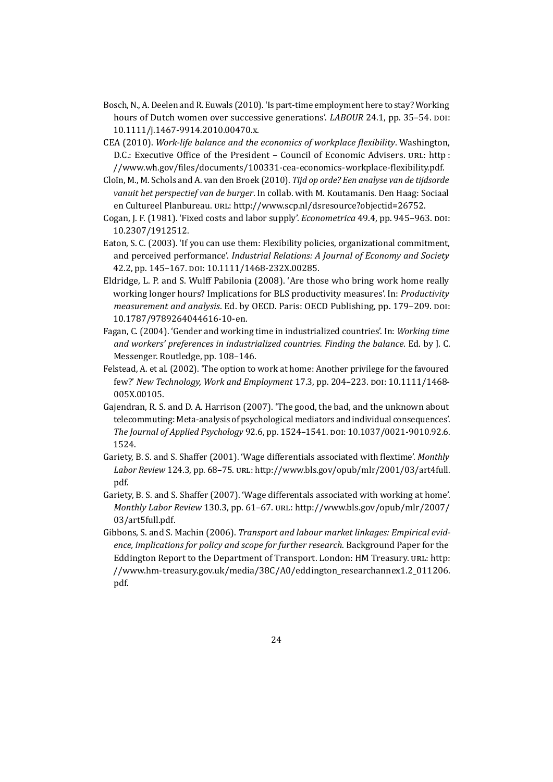- <span id="page-23-11"></span>Bosch, N., A. Deelen and R. Euwals (2010). 'Is part-time employment here to stay? Working hours of Dutch women over successive generations'. *LABOUR* 24.1, pp. 35–54. DOI: [10.1111/j.1467-9914.2010.00470.x.](http://dx.doi.org/10.1111/j.1467-9914.2010.00470.x)
- <span id="page-23-1"></span>CEA (2010). *Work-life balance and the economics of workplace flexibility*. Washington, D.C.: Executive Office of the President – Council of Economic Advisers. URL: [http :](http://www.wh.gov/files/documents/100331-cea-economics-workplace-flexibility.pdf) [//www.wh.gov/files/documents/100331-cea-economics-workplace-flexibility.pdf.](http://www.wh.gov/files/documents/100331-cea-economics-workplace-flexibility.pdf)
- <span id="page-23-2"></span>Cloïn, M., M. Schols and A. van den Broek (2010). *Tijd op orde? Een analyse van de tijdsorde vanuit het perspectief van de burger*. In collab. with M. Koutamanis. Den Haag: Sociaal en Cultureel Planbureau. URL: [http://www.scp.nl/dsresource?objectid=26752.](http://www.scp.nl/dsresource?objectid=26752)
- <span id="page-23-4"></span>Cogan, J. F. (1981). 'Fixed costs and labor supply'. *Econometrica* 49.4, pp. 945–963. DOI: [10.2307/1912512.](http://dx.doi.org/10.2307/1912512)
- <span id="page-23-8"></span>Eaton, S. C. (2003). 'If you can use them: Flexibility policies, organizational commitment, and perceived performance'. *Industrial Relations: A Journal of Economy and Society* 42.2, pp. 145–167. DOI: [10.1111/1468-232X.00285.](http://dx.doi.org/10.1111/1468-232X.00285)
- <span id="page-23-5"></span>Eldridge, L. P. and S. Wulff Pabilonia (2008). 'Are those who bring work home really working longer hours? Implications for BLS productivity measures'. In: *Productivity measurement and analysis*. Ed. by OECD. Paris: OECD Publishing, pp. 179–209. DOI: [10.1787/9789264044616-10-en.](http://dx.doi.org/10.1787/9789264044616-10-en)
- <span id="page-23-0"></span>Fagan, C. (2004). 'Gender and working time in industrialized countries'. In: *Working time and workers' preferences in industrialized countries. Finding the balance*. Ed. by J. C. Messenger. Routledge, pp. 108–146.
- <span id="page-23-10"></span>Felstead, A. et al. (2002). 'The option to work at home: Another privilege for the favoured few?' *New Technology, Work and Employment* 17.3, pp. 204–223. DOI: [10.1111/1468-](http://dx.doi.org/10.1111/1468-005X.00105) [005X.00105.](http://dx.doi.org/10.1111/1468-005X.00105)
- <span id="page-23-9"></span>Gajendran, R. S. and D. A. Harrison (2007). 'The good, the bad, and the unknown about telecommuting: Meta-analysis of psychological mediators and individual consequences'. *The Journal of Applied Psychology* 92.6, pp. 1524–1541. DOI: [10.1037/0021-9010.92.6.](http://dx.doi.org/10.1037/0021-9010.92.6.1524) [1524.](http://dx.doi.org/10.1037/0021-9010.92.6.1524)
- <span id="page-23-6"></span>Gariety, B. S. and S. Shaffer (2001). 'Wage differentials associated with flextime'. *Monthly Labor Review* 124.3, pp. 68–75. URL: [http://www.bls.gov/opub/mlr/2001/03/art4full.](http://www.bls.gov/opub/mlr/2001/03/art4full.pdf) [pdf.](http://www.bls.gov/opub/mlr/2001/03/art4full.pdf)
- <span id="page-23-7"></span>Gariety, B. S. and S. Shaffer (2007). 'Wage differentals associated with working at home'. *Monthly Labor Review* 130.3, pp. 61–67. URL: [http://www.bls.gov/opub/mlr/2007/](http://www.bls.gov/opub/mlr/2007/03/art5full.pdf) [03/art5full.pdf.](http://www.bls.gov/opub/mlr/2007/03/art5full.pdf)
- <span id="page-23-3"></span>Gibbons, S. and S. Machin (2006). *Transport and labour market linkages: Empirical evidence, implications for policy and scope for further research*. Background Paper for the Eddington Report to the Department of Transport. London: HM Treasury. URL: [http:](http://www.hm-treasury.gov.uk/media/38C/A0/eddington_researchannex1.2_011206.pdf) [//www.hm-treasury.gov.uk/media/38C/A0/eddington\\_researchannex1.2\\_011206.](http://www.hm-treasury.gov.uk/media/38C/A0/eddington_researchannex1.2_011206.pdf) [pdf.](http://www.hm-treasury.gov.uk/media/38C/A0/eddington_researchannex1.2_011206.pdf)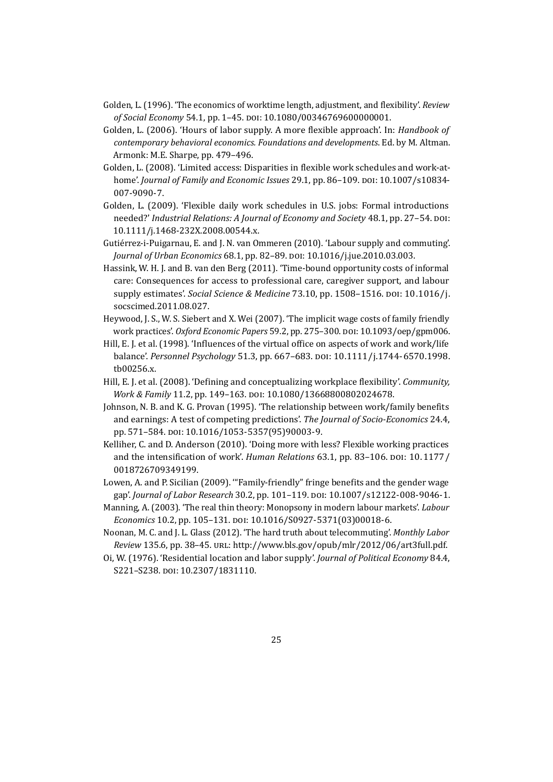- <span id="page-24-6"></span>Golden, L. (1996). 'The economics of worktime length, adjustment, and flexibility'. *Review of Social Economy* 54.1, pp. 1–45. DOI: [10.1080/00346769600000001.](http://dx.doi.org/10.1080/00346769600000001)
- <span id="page-24-5"></span>Golden, L. (2006). 'Hours of labor supply. A more flexible approach'. In: *Handbook of contemporary behavioral economics. Foundations and developments*. Ed. by M. Altman. Armonk: M.E. Sharpe, pp. 479–496.
- <span id="page-24-10"></span>Golden, L. (2008). 'Limited access: Disparities in flexible work schedules and work-athome'. *Journal of Family and Economic Issues* 29.1, pp. 86–109. DOI: [10.1007/s10834-](http://dx.doi.org/10.1007/s10834-007-9090-7) [007-9090-7.](http://dx.doi.org/10.1007/s10834-007-9090-7)
- <span id="page-24-9"></span>Golden, L. (2009). 'Flexible daily work schedules in U.S. jobs: Formal introductions needed?' *Industrial Relations: A Journal of Economy and Society* 48.1, pp. 27–54. DOI: [10.1111/j.1468-232X.2008.00544.x.](http://dx.doi.org/10.1111/j.1468-232X.2008.00544.x)
- <span id="page-24-1"></span>Gutiérrez-i-Puigarnau, E. and J. N. van Ommeren (2010). 'Labour supply and commuting'. *Journal of Urban Economics* 68.1, pp. 82–89. DOI: [10.1016/j.jue.2010.03.003.](http://dx.doi.org/10.1016/j.jue.2010.03.003)
- <span id="page-24-4"></span>Hassink, W. H. J. and B. van den Berg (2011). 'Time-bound opportunity costs of informal care: Consequences for access to professional care, caregiver support, and labour supply estimates'. *Social Science & Medicine* 73.10, pp. 1508–1516. DOI: [10.1016/j.](http://dx.doi.org/10.1016/j.socscimed.2011.08.027) [socscimed.2011.08.027.](http://dx.doi.org/10.1016/j.socscimed.2011.08.027)
- <span id="page-24-7"></span>Heywood, J. S., W. S. Siebert and X. Wei (2007). 'The implicit wage costs of family friendly work practices'. *Oxford Economic Papers* 59.2, pp. 275–300. DOI: [10.1093/oep/gpm006.](http://dx.doi.org/10.1093/oep/gpm006)
- <span id="page-24-14"></span>Hill, E. J. et al. (1998). 'Influences of the virtual office on aspects of work and work/life balance'. *Personnel Psychology* 51.3, pp. 667–683. DOI: [10.1111/j.1744-6570.1998.](http://dx.doi.org/10.1111/j.1744-6570.1998.tb00256.x) [tb00256.x.](http://dx.doi.org/10.1111/j.1744-6570.1998.tb00256.x)
- <span id="page-24-0"></span>Hill, E. J. et al. (2008). 'Defining and conceptualizing workplace flexibility'. *Community, Work & Family* 11.2, pp. 149–163. DOI: [10.1080/13668800802024678.](http://dx.doi.org/10.1080/13668800802024678)
- <span id="page-24-11"></span>Johnson, N. B. and K. G. Provan (1995). 'The relationship between work/family benefits and earnings: A test of competing predictions'. *The Journal of Socio-Economics* 24.4, pp. 571–584. DOI: [10.1016/1053-5357\(95\)90003-9.](http://dx.doi.org/10.1016/1053-5357(95)90003-9)
- <span id="page-24-13"></span>Kelliher, C. and D. Anderson (2010). 'Doing more with less? Flexible working practices and the intensification of work'. *Human Relations* 63.1, pp. 83–106. DOI: [10.1177/](http://dx.doi.org/10.1177/0018726709349199) [0018726709349199.](http://dx.doi.org/10.1177/0018726709349199)
- <span id="page-24-12"></span>Lowen, A. and P. Sicilian (2009). '"Family-friendly" fringe benefits and the gender wage gap'. *Journal of Labor Research* 30.2, pp. 101–119. DOI: [10.1007/s12122-008-9046-1.](http://dx.doi.org/10.1007/s12122-008-9046-1)
- <span id="page-24-2"></span>Manning, A. (2003). 'The real thin theory: Monopsony in modern labour markets'. *Labour Economics* 10.2, pp. 105–131. DOI: [10.1016/S0927-5371\(03\)00018-6.](http://dx.doi.org/10.1016/S0927-5371(03)00018-6)
- <span id="page-24-8"></span>Noonan, M. C. and J. L. Glass (2012). 'The hard truth about telecommuting'. *Monthly Labor Review* 135.6, pp. 38–45. URL: [http://www.bls.gov/opub/mlr/2012/06/art3full.pdf.](http://www.bls.gov/opub/mlr/2012/06/art3full.pdf)
- <span id="page-24-3"></span>Oi, W. (1976). 'Residential location and labor supply'. *Journal of Political Economy* 84.4, S221–S238. DOI: [10.2307/1831110.](http://dx.doi.org/10.2307/1831110)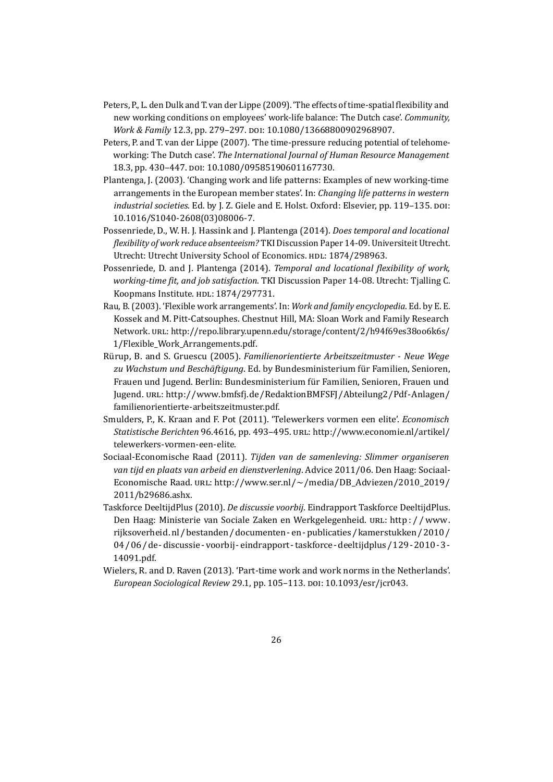- <span id="page-25-6"></span>Peters, P., L. den Dulk and T. van der Lippe (2009). 'The effects of time-spatial flexibility and new working conditions on employees' work-life balance: The Dutch case'. *Community, Work & Family* 12.3, pp. 279–297. DOI: [10.1080/13668800902968907.](http://dx.doi.org/10.1080/13668800902968907)
- <span id="page-25-5"></span>Peters, P. and T. van der Lippe (2007). 'The time-pressure reducing potential of telehomeworking: The Dutch case'. *The International Journal of Human Resource Management* 18.3, pp. 430–447. DOI: [10.1080/09585190601167730.](http://dx.doi.org/10.1080/09585190601167730)
- <span id="page-25-0"></span>Plantenga, J. (2003). 'Changing work and life patterns: Examples of new working-time arrangements in the European member states'. In: *Changing life patterns in western industrial societies*. Ed. by J. Z. Giele and E. Holst. Oxford: Elsevier, pp. 119–135. DOI: [10.1016/S1040-2608\(03\)08006-7.](http://dx.doi.org/10.1016/S1040-2608(03)08006-7)
- <span id="page-25-7"></span>Possenriede, D., W. H. J. Hassink and J. Plantenga (2014). *Does temporal and locational flexibility of work reduce absenteeism?* TKI Discussion Paper 14-09. Universiteit Utrecht. Utrecht: Utrecht University School of Economics. HDL: [1874/298963.](http://hdl.handle.net/1874/298963)
- <span id="page-25-8"></span>Possenriede, D. and J. Plantenga (2014). *Temporal and locational flexibility of work, working-time fit, and job satisfaction*. TKI Discussion Paper 14-08. Utrecht: Tjalling C. Koopmans Institute. HDL: [1874/297731.](http://hdl.handle.net/1874/297731)
- <span id="page-25-1"></span>Rau, B. (2003). 'Flexible work arrangements'. In: *Work and family encyclopedia*. Ed. by E. E. Kossek and M. Pitt-Catsouphes. Chestnut Hill, MA: Sloan Work and Family Research Network. URL: [http://repo.library.upenn.edu/storage/content/2/h94f69es38oo6k6s/](http://repo.library.upenn.edu/storage/content/2/h94f69es38oo6k6s/1/Flexible_Work_Arrangements.pdf) [1/Flexible\\_Work\\_Arrangements.pdf.](http://repo.library.upenn.edu/storage/content/2/h94f69es38oo6k6s/1/Flexible_Work_Arrangements.pdf)
- <span id="page-25-2"></span>Rürup, B. and S. Gruescu (2005). *Familienorientierte Arbeitszeitmuster - Neue Wege zu Wachstum und Beschäftigung*. Ed. by Bundesministerium für Familien, Senioren, Frauen und Jugend. Berlin: Bundesministerium für Familien, Senioren, Frauen und Jugend. URL: [http://www.bmfsfj.de/RedaktionBMFSFJ/Abteilung2/Pdf-Anlagen/](http://www.bmfsfj.de/RedaktionBMFSFJ/Abteilung2/Pdf-Anlagen/familienorientierte-arbeitszeitmuster.pdf) [familienorientierte-arbeitszeitmuster.pdf.](http://www.bmfsfj.de/RedaktionBMFSFJ/Abteilung2/Pdf-Anlagen/familienorientierte-arbeitszeitmuster.pdf)
- <span id="page-25-9"></span>Smulders, P., K. Kraan and F. Pot (2011). 'Telewerkers vormen een elite'. *Economisch Statistische Berichten* 96.4616, pp. 493–495. URL: [http://www.economie.nl/artikel/](http://www.economie.nl/artikel/telewerkers-vormen-een-elite) [telewerkers-vormen-een-elite.](http://www.economie.nl/artikel/telewerkers-vormen-een-elite)
- <span id="page-25-4"></span>Sociaal-Economische Raad (2011). *Tijden van de samenleving: Slimmer organiseren van tijd en plaats van arbeid en dienstverlening*. Advice 2011/06. Den Haag: Sociaal-Economische Raad. URL: [http://www.ser.nl/~/media/DB\\_Adviezen/2010\\_2019/](http://www.ser.nl/~/media/DB_Adviezen/2010_2019/2011/b29686.ashx) [2011/b29686.ashx.](http://www.ser.nl/~/media/DB_Adviezen/2010_2019/2011/b29686.ashx)
- <span id="page-25-3"></span>Taskforce DeeltijdPlus (2010). *De discussie voorbij*. Eindrapport Taskforce DeeltijdPlus. Den Haag: Ministerie van Sociale Zaken en Werkgelegenheid. URL: [http : / / www.](http://www.rijksoverheid.nl/bestanden/documenten-en-publicaties/kamerstukken/2010/04/06/de-discussie-voorbij-eindrapport-taskforce-deeltijdplus/129-2010-3-14091.pdf) [rijksoverheid.nl/bestanden/documenten - en - publicaties/kamerstukken/2010/](http://www.rijksoverheid.nl/bestanden/documenten-en-publicaties/kamerstukken/2010/04/06/de-discussie-voorbij-eindrapport-taskforce-deeltijdplus/129-2010-3-14091.pdf) [04/06/de - discussie - voorbij - eindrapport - taskforce - deeltijdplus/129 - 2010 - 3 -](http://www.rijksoverheid.nl/bestanden/documenten-en-publicaties/kamerstukken/2010/04/06/de-discussie-voorbij-eindrapport-taskforce-deeltijdplus/129-2010-3-14091.pdf) [14091.pdf.](http://www.rijksoverheid.nl/bestanden/documenten-en-publicaties/kamerstukken/2010/04/06/de-discussie-voorbij-eindrapport-taskforce-deeltijdplus/129-2010-3-14091.pdf)
- <span id="page-25-10"></span>Wielers, R. and D. Raven (2013). 'Part-time work and work norms in the Netherlands'. *European Sociological Review* 29.1, pp. 105–113. DOI: [10.1093/esr/jcr043.](http://dx.doi.org/10.1093/esr/jcr043)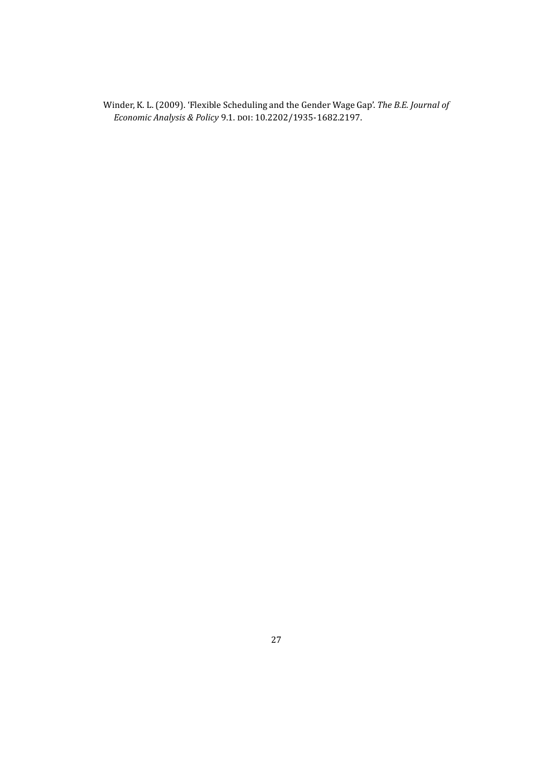<span id="page-26-0"></span>Winder, K. L. (2009). 'Flexible Scheduling and the Gender Wage Gap'. *The B.E. Journal of Economic Analysis & Policy* 9.1. DOI: [10.2202/1935-1682.2197.](http://dx.doi.org/10.2202/1935-1682.2197)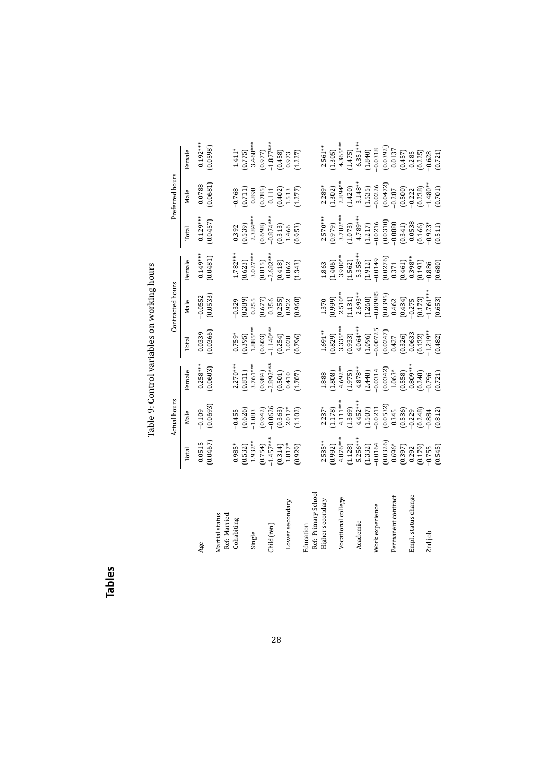| יי היי היה ה             |
|--------------------------|
|                          |
|                          |
|                          |
|                          |
|                          |
|                          |
|                          |
| harishin womanistar      |
|                          |
| ì                        |
|                          |
|                          |
| $\overline{\phantom{a}}$ |
|                          |
|                          |

|                     |                                                                                                                                                                                                                                                                                                                         | Actual hours                                                                                                                                                                                                                                                                                           |                                                                                                                                                                                                                                                                                                |                                                                                                                                                         | Contracted hours                                                                                                                                                                   |                                                                                                                    |                                                                                                                                                                                                                                                                                                             | Preferred hours                                                                                                                                                     |                                                                                                                                                                                                          |
|---------------------|-------------------------------------------------------------------------------------------------------------------------------------------------------------------------------------------------------------------------------------------------------------------------------------------------------------------------|--------------------------------------------------------------------------------------------------------------------------------------------------------------------------------------------------------------------------------------------------------------------------------------------------------|------------------------------------------------------------------------------------------------------------------------------------------------------------------------------------------------------------------------------------------------------------------------------------------------|---------------------------------------------------------------------------------------------------------------------------------------------------------|------------------------------------------------------------------------------------------------------------------------------------------------------------------------------------|--------------------------------------------------------------------------------------------------------------------|-------------------------------------------------------------------------------------------------------------------------------------------------------------------------------------------------------------------------------------------------------------------------------------------------------------|---------------------------------------------------------------------------------------------------------------------------------------------------------------------|----------------------------------------------------------------------------------------------------------------------------------------------------------------------------------------------------------|
|                     | Total                                                                                                                                                                                                                                                                                                                   | Male                                                                                                                                                                                                                                                                                                   | emale                                                                                                                                                                                                                                                                                          | <b>Total</b>                                                                                                                                            | Male                                                                                                                                                                               | emale                                                                                                              | Total                                                                                                                                                                                                                                                                                                       | Male                                                                                                                                                                | emale                                                                                                                                                                                                    |
| Age                 | (0.0467)<br>0.0515                                                                                                                                                                                                                                                                                                      | $-0.109$<br>$(0.0693)$                                                                                                                                                                                                                                                                                 | $0.258***$<br>(0.0603)                                                                                                                                                                                                                                                                         | (0.0366)<br>0.0339                                                                                                                                      | (0.0533)<br>0.0552                                                                                                                                                                 | $0.149***$<br>$(0.0481)$                                                                                           | $0.129***$<br>(0.0457)                                                                                                                                                                                                                                                                                      | (0.0681)<br>0.0788                                                                                                                                                  | $0.192***$<br>(0.0598)                                                                                                                                                                                   |
| Martial status      |                                                                                                                                                                                                                                                                                                                         |                                                                                                                                                                                                                                                                                                        |                                                                                                                                                                                                                                                                                                |                                                                                                                                                         |                                                                                                                                                                                    |                                                                                                                    |                                                                                                                                                                                                                                                                                                             |                                                                                                                                                                     |                                                                                                                                                                                                          |
| Ref: Married        |                                                                                                                                                                                                                                                                                                                         |                                                                                                                                                                                                                                                                                                        |                                                                                                                                                                                                                                                                                                |                                                                                                                                                         |                                                                                                                                                                                    |                                                                                                                    |                                                                                                                                                                                                                                                                                                             |                                                                                                                                                                     |                                                                                                                                                                                                          |
| Cohabiting          | $0.985*$                                                                                                                                                                                                                                                                                                                | 0.455                                                                                                                                                                                                                                                                                                  |                                                                                                                                                                                                                                                                                                | $0.759*$                                                                                                                                                |                                                                                                                                                                                    |                                                                                                                    | 0.392                                                                                                                                                                                                                                                                                                       | 0.768                                                                                                                                                               | $1.411*$                                                                                                                                                                                                 |
|                     |                                                                                                                                                                                                                                                                                                                         | 0.626                                                                                                                                                                                                                                                                                                  |                                                                                                                                                                                                                                                                                                |                                                                                                                                                         | 0.329<br>0.389)<br>0.255<br>0.677)<br>0.356                                                                                                                                        |                                                                                                                    |                                                                                                                                                                                                                                                                                                             | $\begin{array}{c} 0.711 \\ 0.898 \\ 0.785 \\ 0.111 \end{array}$                                                                                                     |                                                                                                                                                                                                          |
| Single              |                                                                                                                                                                                                                                                                                                                         |                                                                                                                                                                                                                                                                                                        |                                                                                                                                                                                                                                                                                                |                                                                                                                                                         |                                                                                                                                                                                    |                                                                                                                    |                                                                                                                                                                                                                                                                                                             |                                                                                                                                                                     |                                                                                                                                                                                                          |
|                     |                                                                                                                                                                                                                                                                                                                         | $\begin{array}{c} 1.083 \\ 0.942 \end{array}$<br>0.0626                                                                                                                                                                                                                                                |                                                                                                                                                                                                                                                                                                |                                                                                                                                                         |                                                                                                                                                                                    |                                                                                                                    |                                                                                                                                                                                                                                                                                                             |                                                                                                                                                                     |                                                                                                                                                                                                          |
| hild(ren)           | $(0.532)$<br>$1.932**$<br>$(0.754)$<br>$-1.457**$<br>$-1.457*$<br>$-1.817*$                                                                                                                                                                                                                                             |                                                                                                                                                                                                                                                                                                        | $\begin{array}{l} 2.270^{***} \ (0.811) \ 0.931^{***} \ (0.984) \ (0.992^{***} \ -2.892^{***} \ (0.501) \ (0.410 \ 0.410 \end{array}$                                                                                                                                                          | $\begin{array}{l} (0.395) \ 1.885^{**} \ 1.885^{**} \ 1.0603) \ 1.140^{**} \ 1.140^{**} \ 1.028 \ 1.028 \end{array}$                                    |                                                                                                                                                                                    | $\begin{array}{l} 1.782^{***} \ 0.623) \ 3.027^{***} \ 3.015) \ 0.815) \ 0.418) \ 0.042 \end{array}$               | $\begin{array}{c} (0.539) \ 2.384^{***} \ 2.384^{***} \ 0.698) \ 0.874^{***} \ 1.466 \ 1.466 \end{array}$                                                                                                                                                                                                   |                                                                                                                                                                     | $(0.775)$<br>$3.468***$<br>$(0.977)$<br>$1.877***$<br>$1.9458$<br>$0.458$<br>$0.973$<br>$1.227$                                                                                                          |
|                     |                                                                                                                                                                                                                                                                                                                         | $0.363$<br>2.017*                                                                                                                                                                                                                                                                                      |                                                                                                                                                                                                                                                                                                |                                                                                                                                                         | $\begin{array}{c} 0.255 \\ 0.922 \\ 0.968 \end{array}$                                                                                                                             |                                                                                                                    |                                                                                                                                                                                                                                                                                                             | $\begin{array}{c} (0.402) \\ 1.513 \\ 1.277) \end{array}$                                                                                                           |                                                                                                                                                                                                          |
| Lower secondary     |                                                                                                                                                                                                                                                                                                                         |                                                                                                                                                                                                                                                                                                        |                                                                                                                                                                                                                                                                                                |                                                                                                                                                         |                                                                                                                                                                                    |                                                                                                                    |                                                                                                                                                                                                                                                                                                             |                                                                                                                                                                     |                                                                                                                                                                                                          |
|                     | (629)                                                                                                                                                                                                                                                                                                                   | 1.102                                                                                                                                                                                                                                                                                                  |                                                                                                                                                                                                                                                                                                |                                                                                                                                                         |                                                                                                                                                                                    | 1.343)                                                                                                             |                                                                                                                                                                                                                                                                                                             |                                                                                                                                                                     |                                                                                                                                                                                                          |
| ducation            |                                                                                                                                                                                                                                                                                                                         |                                                                                                                                                                                                                                                                                                        |                                                                                                                                                                                                                                                                                                |                                                                                                                                                         |                                                                                                                                                                                    |                                                                                                                    |                                                                                                                                                                                                                                                                                                             |                                                                                                                                                                     |                                                                                                                                                                                                          |
| Ref: Primary School |                                                                                                                                                                                                                                                                                                                         |                                                                                                                                                                                                                                                                                                        |                                                                                                                                                                                                                                                                                                |                                                                                                                                                         |                                                                                                                                                                                    |                                                                                                                    |                                                                                                                                                                                                                                                                                                             |                                                                                                                                                                     |                                                                                                                                                                                                          |
| Higher secondary    | $2.535***$                                                                                                                                                                                                                                                                                                              |                                                                                                                                                                                                                                                                                                        | .888                                                                                                                                                                                                                                                                                           |                                                                                                                                                         |                                                                                                                                                                                    | .863                                                                                                               |                                                                                                                                                                                                                                                                                                             | $2.289*$                                                                                                                                                            | $2.561**$<br>1.305)                                                                                                                                                                                      |
|                     | (266'0)                                                                                                                                                                                                                                                                                                                 |                                                                                                                                                                                                                                                                                                        |                                                                                                                                                                                                                                                                                                |                                                                                                                                                         |                                                                                                                                                                                    |                                                                                                                    |                                                                                                                                                                                                                                                                                                             | $(1.302)$<br>2.894**                                                                                                                                                |                                                                                                                                                                                                          |
| Vocational college  |                                                                                                                                                                                                                                                                                                                         |                                                                                                                                                                                                                                                                                                        |                                                                                                                                                                                                                                                                                                |                                                                                                                                                         |                                                                                                                                                                                    |                                                                                                                    |                                                                                                                                                                                                                                                                                                             |                                                                                                                                                                     |                                                                                                                                                                                                          |
|                     | $\begin{array}{l} 4.876^{***} \\ (1.128) \\ 5.256^{***} \\ (1.332) \\ (1.332) \\ (0.0326) \\ (0.0326) \\ (0.397) \\ (0.392) \\ (0.392) \\ (0.392) \\ (0.392) \\ (0.392) \\ (0.392) \\ (0.392) \\ (0.392) \\ (0.392) \\ (0.392) \\ (0.392) \\ (0.392) \\ (0.392) \\ (0.392) \\ (0.392) \\ (0.392) \\ (0.392) \\ (0.392)$ | $\begin{array}{l} 2.237^* \\ 1.178 \\ 1.178 \\ 4.11^{***} \\ 1.369 \\ 1.452^{**} \\ 1.507 \\ 1.607 \\ 1.507 \\ 1.607 \\ 1.700 \\ 1.700 \\ 1.700 \\ 1.700 \\ 1.700 \\ 1.700 \\ 1.700 \\ 1.700 \\ 1.700 \\ 1.700 \\ 1.700 \\ 1.700 \\ 1.700 \\ 1.700 \\ 1.700 \\ 1.700 \\ 1.700 \\ 1.700 \\ 1.700 \\ 1.$ | $\begin{smallmatrix} (1.808)\\ 4.692^{**} \\ (1.975)\\ 4.878^{**} \\ (2.448)\\ 0.0314\\ 1.063^{**} \\ (0.558)\\ 0.0342)\\ (0.558)\\ (0.249)\\ 0.0042)\\ (0.249)\\ 0.0001\\ (0.0048)\\ (0.0001)\\ (0.0001)\\ (0.0001)\\ (0.0001)\\ (0.0001)\\ (0.0001)\\ (0.0001)\\ (0.0001)\\ (0.0001)\\ (0.0$ | $1.691$ **<br>$(0.829)$<br>$(3.335$ ***<br>$(1.933)$<br>$(1.964$ **<br>$(1.096)$<br>$(0.0725)$<br>$(0.00747)$<br>$(0.0633)$<br>$(0.0247)$<br>$(0.0633)$ | $\begin{array}{l} 1.370 \\ (9.99) \\ (1.131) \\ (2.633** \\ (1.131) \\ (1.268) \\ (0.00985) \\ (0.0395) \\ (0.0434) \\ (0.0434) \\ (0.0173) \\ (0.0173) \\ (0.053) \\ \end{array}$ | $[1.406]$ $[3.980**]$ $[1.562]$ $[1.912]$ $[1.912]$ $[0.0149]$ $[0.0149]$ $[0.0149]$ $[0.037]$ $[0.037]$ $[0.019]$ | $\begin{array}{l} 2.570^{***} \\ 2.979) \\ 0.979) \\ 3.782^{***} \\ 4.789^{***} \\ 4.789^{***} \\ 4.789^{***} \\ 4.789^{***} \\ 1.217) \\ 0.0216 \\ 0.0340 \\ 0.0533 \\ 0.0533 \\ 0.0160 \\ 0.0160 \\ 0.0160 \\ 0.0160 \\ 0.0160 \\ 0.0160 \\ 0.0160 \\ 0.0160 \\ 0.0160 \\ 0.0160 \\ 0.0160 \\ 0.0160 \\ $ | $\begin{array}{l} (1.420)\\ 3.148**\\ (1.535)\\ (1.535)\\ (0.0226)\\ (0.0472)\\ (0.0472)\\ (0.500)\\ (0.701)\\ (0.701)\\ (0.701)\\ (0.701)\\ (0.701)\\ \end{array}$ | $\begin{array}{l} 4.365^{***} \\ 1.475 \\ 6.351^{***} \\ 6.351^{***} \\ (1.840) \\ (1.840) \\ (0.0318) \\ (0.0392) \\ (0.0137) \\ (0.0137) \\ (0.0137) \\ (0.028) \\ (0.028) \\ (0.0721) \\ \end{array}$ |
| Academic            |                                                                                                                                                                                                                                                                                                                         |                                                                                                                                                                                                                                                                                                        |                                                                                                                                                                                                                                                                                                |                                                                                                                                                         |                                                                                                                                                                                    |                                                                                                                    |                                                                                                                                                                                                                                                                                                             |                                                                                                                                                                     |                                                                                                                                                                                                          |
|                     |                                                                                                                                                                                                                                                                                                                         |                                                                                                                                                                                                                                                                                                        |                                                                                                                                                                                                                                                                                                |                                                                                                                                                         |                                                                                                                                                                                    |                                                                                                                    |                                                                                                                                                                                                                                                                                                             |                                                                                                                                                                     |                                                                                                                                                                                                          |
| Nork experience     |                                                                                                                                                                                                                                                                                                                         |                                                                                                                                                                                                                                                                                                        |                                                                                                                                                                                                                                                                                                |                                                                                                                                                         |                                                                                                                                                                                    |                                                                                                                    |                                                                                                                                                                                                                                                                                                             |                                                                                                                                                                     |                                                                                                                                                                                                          |
|                     |                                                                                                                                                                                                                                                                                                                         |                                                                                                                                                                                                                                                                                                        |                                                                                                                                                                                                                                                                                                |                                                                                                                                                         |                                                                                                                                                                                    |                                                                                                                    |                                                                                                                                                                                                                                                                                                             |                                                                                                                                                                     |                                                                                                                                                                                                          |
| Permanent contract  |                                                                                                                                                                                                                                                                                                                         |                                                                                                                                                                                                                                                                                                        |                                                                                                                                                                                                                                                                                                |                                                                                                                                                         |                                                                                                                                                                                    |                                                                                                                    |                                                                                                                                                                                                                                                                                                             |                                                                                                                                                                     |                                                                                                                                                                                                          |
|                     |                                                                                                                                                                                                                                                                                                                         |                                                                                                                                                                                                                                                                                                        |                                                                                                                                                                                                                                                                                                |                                                                                                                                                         |                                                                                                                                                                                    |                                                                                                                    |                                                                                                                                                                                                                                                                                                             |                                                                                                                                                                     |                                                                                                                                                                                                          |
| Empl. status change |                                                                                                                                                                                                                                                                                                                         |                                                                                                                                                                                                                                                                                                        |                                                                                                                                                                                                                                                                                                |                                                                                                                                                         |                                                                                                                                                                                    |                                                                                                                    |                                                                                                                                                                                                                                                                                                             |                                                                                                                                                                     |                                                                                                                                                                                                          |
|                     | $\begin{array}{c} (0.179) \\ 0.755 \\ 0.545 \end{array}$                                                                                                                                                                                                                                                                |                                                                                                                                                                                                                                                                                                        |                                                                                                                                                                                                                                                                                                |                                                                                                                                                         |                                                                                                                                                                                    |                                                                                                                    |                                                                                                                                                                                                                                                                                                             |                                                                                                                                                                     |                                                                                                                                                                                                          |
| 2nd job             |                                                                                                                                                                                                                                                                                                                         | 0.884                                                                                                                                                                                                                                                                                                  |                                                                                                                                                                                                                                                                                                |                                                                                                                                                         |                                                                                                                                                                                    |                                                                                                                    |                                                                                                                                                                                                                                                                                                             |                                                                                                                                                                     |                                                                                                                                                                                                          |
|                     |                                                                                                                                                                                                                                                                                                                         | (0.812)                                                                                                                                                                                                                                                                                                |                                                                                                                                                                                                                                                                                                | 0.482)                                                                                                                                                  |                                                                                                                                                                                    | 0.680)                                                                                                             |                                                                                                                                                                                                                                                                                                             |                                                                                                                                                                     |                                                                                                                                                                                                          |

<span id="page-27-0"></span>**Tables**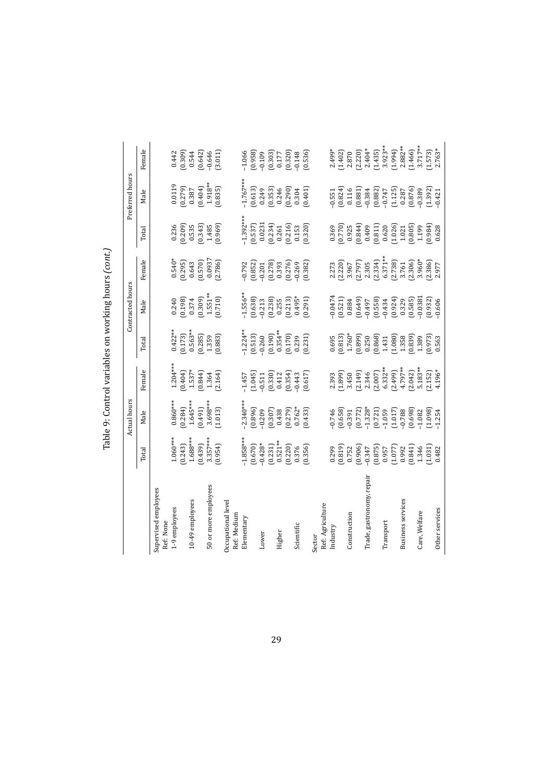|                                   |                       | Actual hours        |                                                |                                                                     | Contracted hours        |                                              |                                                                                              | Preferred hours                                            |                         |
|-----------------------------------|-----------------------|---------------------|------------------------------------------------|---------------------------------------------------------------------|-------------------------|----------------------------------------------|----------------------------------------------------------------------------------------------|------------------------------------------------------------|-------------------------|
|                                   | Total                 | Male                | Female                                         | Total                                                               | Male                    | Female                                       | Total                                                                                        | Male                                                       | Female                  |
| Supervised employees              |                       |                     |                                                |                                                                     |                         |                                              |                                                                                              |                                                            |                         |
| Ref: None                         |                       |                     |                                                |                                                                     |                         |                                              |                                                                                              |                                                            |                         |
| 1-9 employees                     | $1.060***$            | $0.860***$          | $1.204***$                                     | $0.422***$                                                          | 0.240                   |                                              | 0.236                                                                                        | 0.0119                                                     | 0.442                   |
|                                   | (0.243)               | (0.284)             | $(0.404)$<br>1.537*                            | (0.173)                                                             | (0.198)                 |                                              |                                                                                              | (672, 0)                                                   | $(0.309)$<br>0.544      |
| 10-49 employees                   | $1.688***$            | $1.645***$          |                                                | $0.563**$                                                           | 0.374                   | $0.540*$<br>$(0.295)$<br>$0.643$<br>$0.570)$ | $\begin{array}{c} (0.209) \\ 0.535 \\ 0.343) \\ 1.485 \end{array}$                           | 0.387                                                      |                         |
|                                   | (0.439)               | (164.0)             | $(1 + 8.0)$                                    | $(0.285)$<br>1.359                                                  | $(0.309)$<br>1.551**    |                                              |                                                                                              | (0.404)                                                    | (0.642)                 |
| 50 or more employees              | $3.357***$<br>(0.954) | 3.698***<br>(1.013) | (2.164)<br>1.364                               | (0.883)                                                             | (0.710)                 | 0.0937<br>(2.786)                            | (696.0)                                                                                      | 1.918**<br>(0.835)                                         | (3.011)<br>$-0.646$     |
| Occupational level<br>Ref: Medium |                       |                     |                                                |                                                                     |                         |                                              |                                                                                              |                                                            |                         |
| Elementary                        | $-1.858***$           | $2.340***$          |                                                |                                                                     |                         |                                              | $1.392***$                                                                                   | $1.767***$                                                 | $-1.066$                |
|                                   | (0.670)               | (0.896)             | $-1.457$<br>$(1.045)$<br>$-0.511$<br>$(0.330)$ | $-1.224**$<br>$(0.513)$<br>$-0.260$<br>$(0.190)$<br>$0.354**$       | $-1.556**$<br>$(0.638)$ | $-0.792$<br>$(0.852)$                        | $\begin{array}{c} (0.537) \\ 0.0231 \\ 0.234) \\ 0.261 \end{array}$                          | (0.613)                                                    | (0.958)                 |
| Lower                             | $-0.428*$             | $-0.209$            |                                                |                                                                     | $-0.213$<br>$(0.238)$   | $-0.201$<br>$(0.278)$                        |                                                                                              |                                                            |                         |
|                                   | (0.231)               | (0.307)             |                                                |                                                                     |                         |                                              |                                                                                              | $(0.249$<br>$(0.353)$                                      | $-0.109$<br>$(0.303)$   |
| Higher                            | $0.521**$             | 0.438               | 0.412                                          |                                                                     | 0.255                   | 0.393                                        |                                                                                              | $(0.246$<br>$(0.290)$                                      | $\frac{0.177}{(0.320)}$ |
|                                   | (0.220)               | (0.279)             | (0.354)                                        | $(0.170)$<br>$0.239$                                                | (0.213)                 | (0.276)                                      |                                                                                              |                                                            |                         |
| Scientific                        | 0.376                 | $0.762*$            | $-0.443$                                       |                                                                     | $0.495*$                | $-0.269$                                     | $\begin{array}{c} (0.216) \\ 0.153 \\ (0.320) \end{array}$                                   | 0.304                                                      | $-0.148$                |
|                                   | (0.356)               | (6.433)             | (0.617)                                        | (0.231)                                                             | (162.0)                 | (0.382)                                      |                                                                                              | (0.401)                                                    | (0.536)                 |
| Sector                            |                       |                     |                                                |                                                                     |                         |                                              |                                                                                              |                                                            |                         |
| Ref: Agriculture                  |                       |                     |                                                |                                                                     |                         |                                              |                                                                                              |                                                            |                         |
| Industry                          | 0.299                 | $-0.746$            | 2.393<br>1.899)                                | 0.695                                                               | $-0.0474$               | 2.273<br>2.220)                              | 0.369                                                                                        | $-0.551$                                                   | $2.499*$                |
|                                   | (0.819)               | (0.658)             |                                                | $(0.813)$<br>1.760*                                                 | (0.521)                 |                                              |                                                                                              | (0.824)                                                    | (1.402)                 |
| Construction                      | 0.752                 | $-0.391$            | 3.450                                          |                                                                     | 0.884                   | 3.967                                        | $\begin{array}{c} 0.770 \\ 0.925 \\ 0.844 \end{array}$                                       | 0.116                                                      | 2.870                   |
|                                   | (0.906)               | (0.772)             | (2.149)                                        | (6680)                                                              | (0.649)                 | (2.797)                                      |                                                                                              | (0.881)                                                    | (2.220)                 |
| Trade, gastronomy, repair         | $-0.347$              | $-1.328*$           | 2.346                                          | 0.250                                                               | -0.497                  | 2.305                                        |                                                                                              |                                                            | $2.404*$                |
|                                   | (0.875)               | (0.721)             | $(2.007)$<br>6.332**                           | $\begin{array}{c} (0.868) \\ 1.431 \end{array}$                     | (0.558)                 | (2.334)                                      | $\begin{array}{c} 0.409 \\ 0.811) \\ 0.620 \\ 1.026) \\ 1.021 \\ 1.021 \\ 1.031 \end{array}$ | $-0.384$<br>$(0.882)$<br>$-0.747$                          | $(1.435)$<br>3.923**    |
| Transport                         | 0.957                 |                     |                                                |                                                                     | $-0.434$                | $6.371***$                                   |                                                                                              |                                                            |                         |
|                                   | (1.077)               | (1.017)             | $(2.499)$<br>4.797**                           | $\begin{array}{c} (1.080) \\ 1.358 \\ (0.839) \\ 1.389 \end{array}$ | (0.924)                 | $(2.738)$<br>3.761                           |                                                                                              | $\begin{array}{c} (1.125) \\ 0.287 \\ (0.876) \end{array}$ | (1.994)                 |
| <b>Business services</b>          | 0.992                 | $-0.788$            |                                                |                                                                     | 0.329                   |                                              |                                                                                              |                                                            | $2.882***$              |
|                                   | $(0.841)$<br>1.346    | (0.698)             | $(2.042)$<br>5.183**                           |                                                                     | (0.585)                 | $[2.306]$<br>3.960*                          |                                                                                              |                                                            | (1.466)                 |
| Care, Welfare                     |                       | $-1.082$            |                                                |                                                                     | $-0.0381$               |                                              |                                                                                              | $-0.389$                                                   | $3.717**$               |
|                                   | (1.031)               | (1.098)             | (2.152)                                        | 0.973)                                                              | (0.932)                 | (2.386)                                      | (1, 86, 0)                                                                                   | (1.392)                                                    | (1.573)                 |
| Other services                    | 0.482                 | $-1.254$            | 4.196*                                         | 0.563                                                               | $-0.606$                | 2.977                                        | 0.628                                                                                        | $-0.421$                                                   | 2.763*                  |

Table 9: Control variables on working hours *(cont.)*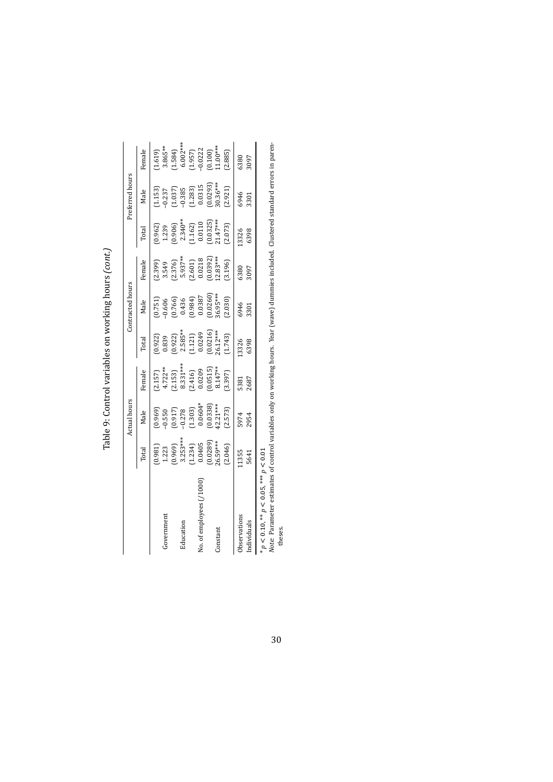|                                                                                                                                                                                                                                                                                 |                                                                                                       | <b>Actual hours</b>                                                                                                       |                                                                                                                            |                                                                                                                  | Contracted hours                                                                             |                                                                                                      |                                                                                                                   | Preferred hours                                                                                                             |                                                                                                                                            |
|---------------------------------------------------------------------------------------------------------------------------------------------------------------------------------------------------------------------------------------------------------------------------------|-------------------------------------------------------------------------------------------------------|---------------------------------------------------------------------------------------------------------------------------|----------------------------------------------------------------------------------------------------------------------------|------------------------------------------------------------------------------------------------------------------|----------------------------------------------------------------------------------------------|------------------------------------------------------------------------------------------------------|-------------------------------------------------------------------------------------------------------------------|-----------------------------------------------------------------------------------------------------------------------------|--------------------------------------------------------------------------------------------------------------------------------------------|
|                                                                                                                                                                                                                                                                                 | Total                                                                                                 | Male                                                                                                                      | Female                                                                                                                     | Total                                                                                                            | Male                                                                                         | Female                                                                                               | Total                                                                                                             | Male                                                                                                                        | Female                                                                                                                                     |
|                                                                                                                                                                                                                                                                                 |                                                                                                       |                                                                                                                           |                                                                                                                            |                                                                                                                  |                                                                                              |                                                                                                      |                                                                                                                   |                                                                                                                             |                                                                                                                                            |
| Government                                                                                                                                                                                                                                                                      |                                                                                                       | $(0.969)$<br>$-0.550$                                                                                                     |                                                                                                                            |                                                                                                                  |                                                                                              |                                                                                                      |                                                                                                                   |                                                                                                                             |                                                                                                                                            |
|                                                                                                                                                                                                                                                                                 |                                                                                                       |                                                                                                                           |                                                                                                                            |                                                                                                                  |                                                                                              |                                                                                                      |                                                                                                                   |                                                                                                                             |                                                                                                                                            |
| Education                                                                                                                                                                                                                                                                       |                                                                                                       |                                                                                                                           |                                                                                                                            |                                                                                                                  |                                                                                              |                                                                                                      |                                                                                                                   |                                                                                                                             |                                                                                                                                            |
|                                                                                                                                                                                                                                                                                 | $(0.981)$<br>$1.223$<br>$(0.969)$<br>$3.253***$<br>$(1.234)$<br>$(0.0405$<br>$(0.0289)$<br>$(0.0289)$ | $\begin{array}{l} (0.917) \\ -0.278 \\ (1.303) \\ 0.0604^{*} \\ 0.0338 \\ (0.0338) \\ 42.21^{***} \\ (2.573) \end{array}$ | $\begin{array}{l} (2.157)\\ 4.722^{**}\\ (2.153)\\ 8.331^{***}\\ (2.416)\\ (0.0209)\\ (0.0515)\\ 8.147^{**}\\ \end{array}$ | $(0.922)$<br>$0.839$<br>$(0.922)$<br>$2.585**$<br>$2.585**$<br>$(1.121)$<br>$0.0249$<br>$(0.0216)$<br>$(0.0216)$ | $[0.751]$<br>$-0.606$<br>$[0.766]$<br>$0.436$<br>$0.436$<br>$0.0387$<br>$0.0387$<br>$0.0387$ | $(2.399)$<br>$3.549$<br>$(2.376)$<br>$5.937**$<br>$5.937**$<br>$(2.601)$<br>$(0.0392)$<br>$(0.0392)$ | $(0.962)$<br>$1.239$<br>$(0.906)$<br>$2.340**$<br>$2.340*$<br>$(1.162)$<br>$(0.0110)$<br>$(0.0325)$<br>$(0.0325)$ | $\begin{array}{l} (1.153) \ -0.237 \ -0.337 \ -0.385 \ -0.385 \ -0.239 \ 0.0315 \ (0.0293) \ 0.0315 \ (0.0293) \end{array}$ | $\begin{array}{l} (1.619) \ 3.865^{**} \ 3.865^{**} \ (1.584) \ 6.002^{***} \ (1.957) \ (1.957) \ (1.902) \ (0.100) \ (0.100) \end{array}$ |
| No. of employees (/1000                                                                                                                                                                                                                                                         |                                                                                                       |                                                                                                                           |                                                                                                                            |                                                                                                                  |                                                                                              |                                                                                                      |                                                                                                                   |                                                                                                                             |                                                                                                                                            |
|                                                                                                                                                                                                                                                                                 |                                                                                                       |                                                                                                                           |                                                                                                                            |                                                                                                                  |                                                                                              |                                                                                                      |                                                                                                                   |                                                                                                                             |                                                                                                                                            |
| Constant                                                                                                                                                                                                                                                                        |                                                                                                       |                                                                                                                           |                                                                                                                            |                                                                                                                  |                                                                                              |                                                                                                      |                                                                                                                   |                                                                                                                             |                                                                                                                                            |
|                                                                                                                                                                                                                                                                                 | (2.046)                                                                                               |                                                                                                                           | (3.397)                                                                                                                    | (1.743)                                                                                                          | (2.030)                                                                                      | (3.196)                                                                                              | (2.073)                                                                                                           | (2.921)                                                                                                                     | (2.885)                                                                                                                                    |
| Observations                                                                                                                                                                                                                                                                    | 11355                                                                                                 | 5974                                                                                                                      | 5381                                                                                                                       | .3326                                                                                                            | 6946                                                                                         | 6380                                                                                                 | .3326                                                                                                             | 6946                                                                                                                        | 6380                                                                                                                                       |
| Individuals                                                                                                                                                                                                                                                                     | 5641                                                                                                  | 2954                                                                                                                      | 1892                                                                                                                       | 6398                                                                                                             | 3301                                                                                         | 3097                                                                                                 | 6398                                                                                                              | 3301                                                                                                                        | 3097                                                                                                                                       |
| 1.000 method as the action of action of active and which will be active to act the contract of the company of the company of a contract of a contract of a contract of a contract of a contract of a contract of a contract of<br>* $p < 0.10$ , ** $p < 0.05$ , *** $p < 0.01$ |                                                                                                       |                                                                                                                           |                                                                                                                            |                                                                                                                  |                                                                                              |                                                                                                      |                                                                                                                   |                                                                                                                             |                                                                                                                                            |

Table 9: Control variables on working hours (cont.) Table 9: Control variables on working hours *(cont.)*

*Note:* Parameter estimates of control variables only on working hours. Year (wave) dummies included. Clustered standard errors in paren-*Note:* Parameter estimates of control variables only on working hours. Year (wave) dummies included. Clustered standard errors in paren-<br>theses.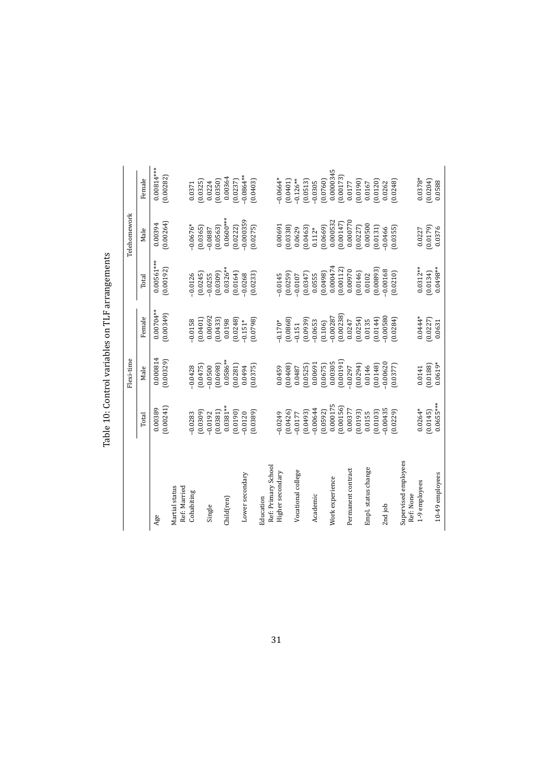|                                | Table 10: Control variables on TLF arrangements |                       |                             |                           |                      |                           |
|--------------------------------|-------------------------------------------------|-----------------------|-----------------------------|---------------------------|----------------------|---------------------------|
|                                |                                                 | Flexi-time            |                             |                           | Telehomework         |                           |
|                                | Total                                           | Male                  | Female                      | Total                     | Male                 | Female                    |
| Age                            | (0.00241)<br>0.00389                            | 0.000814<br>(0.00329) | $0.00704***$<br>$(6+500.0)$ | $0.00561***$<br>(0.00192) | (0.00264)<br>0.00394 | $0.00814***$<br>(0.00282) |
|                                |                                                 |                       |                             |                           |                      |                           |
| Martial status<br>Ref: Married |                                                 |                       |                             |                           |                      |                           |
| Cohabiting                     | $-0.0283$                                       | $-0.0428$             | $-0.0158$                   | $-0.0126$                 | $-0.0676*$           | 0.0371                    |
|                                | (0.0309)                                        | (0.0475)              | (0.0401)                    | (0.0245)                  | (0.0365)             | 0.0325                    |
| Single                         | $-0.0192$                                       | $-0.0500$             | 0.00692                     | $-0.0255$                 | $-0.0887$            | 0.0224                    |
|                                | (0.0381)                                        | (0.0698)              | (0.0433)                    | (0.0309)                  | (0.0563)             | (0.0350)                  |
| Child(ren)                     | $0.0381***$                                     | $0.0586**$            | 0.0198                      | $0.0326***$               | $0.0600***$          | 0.00364                   |
|                                | (0.0190)                                        | (0.0281)              | (0.0248)                    | (0.0164)                  | (0.0222)             | (0.0237)                  |
| Lower secondary                | $-0.0120$                                       | 0.0494                | $-0.151*$                   | $-0.0268$                 | $-0.000359$          | $-0.0864***$              |
|                                | (0.0389)                                        | (0.0375)              | (0.0798)                    | (0.0233)                  | (0.0275)             | (0.0403)                  |
| Education                      |                                                 |                       |                             |                           |                      |                           |
| Ref: Primary School            |                                                 |                       |                             |                           |                      |                           |
| Higher secondary               | $-0.0249$                                       | 0.0459                | $0.170*$                    | $-0.0145$                 | 0.00691              | $-0.0664*$                |
|                                | [0.0426]                                        | $(80 + 0.0)$          | 0.0868                      | (0.0259)                  | (0.0338)             | (0.0401)                  |
| Vocational college             | $-0.0177$                                       | 0.0487                | $-0.151$                    | $-0.0107$                 | 0.0629               | $-0.126**$                |
|                                | (6493)                                          | (0.0525)              | (6560.0)                    | (0.0347)                  | (0.0463)             | (0.0513)                  |
| Academic                       | $-0.00644$                                      | 0.00691               | $-0.0653$                   | 0.0555                    | $0.112*$             | $-0.0305$                 |
|                                | (0.0592)                                        | (0.0675)              | (0.106)                     | (8640.0)                  | (6990.0)             | (0.0760)                  |
| Work experience                | 0.000175                                        | 0.00305               | $-0.00287$                  | 0.000474                  | 0.000532             | 0.0000345                 |
|                                | (0.00156)                                       | [0.00191]             | (0.00238)                   | (0.00112)                 | (0.00147)            | 0.00173                   |
| Permanent contract             | 0.00377                                         | $-0.0297$             | 0.0247                      | 0.00970                   | 0.000770             | 0.0177                    |
|                                | (60100)                                         | (650.0)               | (0.0254)                    | (0.0146)                  | (0.0227)             | 0.0190                    |
| Empl. status change            | 0.0155                                          | 0.0146                | 0.0135                      | 0.0102                    | 0.00500              | 0.0167                    |
|                                | (0.0103)                                        | (0.0148)              | (0.0144)                    | [0.00893]                 | (0.0131)             | 0.0120                    |
| 2nd job                        | $-0.00435$                                      | $-0.00620$            | 0.00580                     | $-0.00168$                | $-0.0466$            | 0.0262                    |
|                                | (0.0229)                                        | [0.0377]              | (0.0284)                    | (0.0210)                  | (0.0355)             | 0.0248                    |
| Supervised employees           |                                                 |                       |                             |                           |                      |                           |
| Ref: None                      |                                                 |                       |                             |                           |                      |                           |
| 1-9 employees                  | $0.0264*$                                       | 0.0141                | $0.0444*$                   | $0.0312**$                | 0.0227               | $0.0378*$                 |
|                                | (0.0145)                                        | (0.0188)              | (0.0227)                    | (0.0134)                  | (0.0179)             | (0.0204)                  |
| 10-49 employees                | $0.0655***$                                     | $0.0619*$             | 0.0631                      | $0.0498***$               | 0.0376               | 0.0588                    |

<span id="page-30-0"></span>TI<sub>L</sub> Š  $T<sub>ab</sub>$ <sub>0</sub> 10.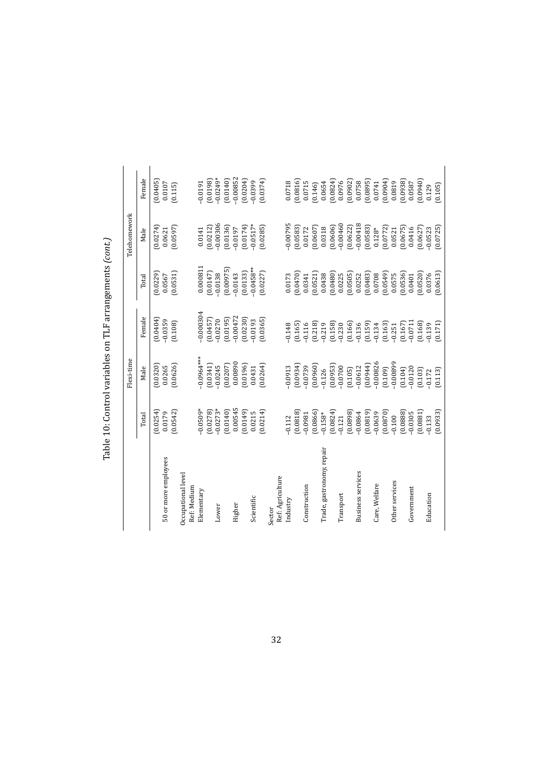|                           |            | Flexi-time   |             |              | Telehomework |            |
|---------------------------|------------|--------------|-------------|--------------|--------------|------------|
|                           | Total      | Male         | Female      | Total        | Male         | Female     |
|                           | 0.0254     | (0.0320)     | (0.0404)    | (0.0229)     | (0.0274)     | [0.0405]   |
| 50 or more employees      | 0.0179     | 0.0265       | $-0.0359$   | 0.0567       | 0.0621       | 0.0107     |
|                           | (0.0542)   | (0.0626)     | (0.108)     | (0.0531)     | (0.0597)     | (0.115)    |
| Occupational level        |            |              |             |              |              |            |
| Ref: Medium               |            |              |             |              |              |            |
| Elementary                | $-0.0509*$ | $-0.0964***$ | $-0.000304$ | 0.00081      | 0.0141       | $-0.0191$  |
|                           | (0.0278)   | (0.0341)     | (0.0457)    | (0.0147)     | [0.0212]     | (0.0198)   |
| Lower                     | $-0.0273*$ | $-0.0245$    | $-0.0270$   | $-0.0138$    | $-0.00306$   | $-0.0249*$ |
|                           | (0.0140)   | (0.0207)     | (0.0195)    | (0.00975)    | (0.0136)     | (0.0140)   |
| Higher                    | 0.00545    | 0.00890      | $-0.00472$  | $-0.0143$    | $-0.0197$    | $-0.00852$ |
|                           | 0.0149     | 0.0196       | (0.0230)    | (0.0133)     | (0.0174)     | (0.0204)   |
| Scientific                | 0.0215     | 0.0431       | $-0.0193$   | $-0.0458***$ | $-0.0517*$   | $-0.0399$  |
|                           | (0.0214)   | (0.0264)     | (0.0365)    | (0.0227)     | (0.0285)     | (0.0374)   |
| Sector                    |            |              |             |              |              |            |
| Ref: Agriculture          |            |              |             |              |              |            |
| Industry                  | $-0.112$   | $-0.0913$    | 0.148       | 0.0173       | $-0.00795$   | 0.0718     |
|                           | (0.0818)   | 60000        | (0.165)     | 0.0470       | (0.0583)     | 0.0816     |
| Construction              | $-0.0981$  | $-0.0739$    | $-0.116$    | 0.0341       | 0.0172       | 0.0715     |
|                           | (0.0866)   | 0.0960       | (0.218)     | 0.0521       | [0.0607]     | (0.146)    |
| Trade, gastronomy, repair | $-0.158*$  | $-0.126$     | $-0.219$    | 0.0438       | 0.0318       | 0.0654     |
|                           | (0.0824)   | (0.0953)     | (0.158)     | 0.0480       | (0.0606)     | (1.8824)   |
| Transport                 | $-0.121$   | $-0.0700$    | $-0.230$    | 0.0225       | $-0.00460$   | 0.0976     |
|                           | (8680.0)   | (0.105)      | (0.166)     | (0.0505)     | (0.0622)     | (20.0902)  |
| <b>Business services</b>  | $-0.0864$  | $-0.0612$    | $-0.136$    | 0.0252       | $-0.00418$   | 0.0758     |
|                           | (0.0819)   | $(1 + 60.0)$ | (0.159)     | 0.0483       | (0.0583)     | 0.0895     |
| Care, Welfare             | $-0.0639$  | $-0.00826$   | $-0.134$    | 0.0708       | $0.128*$     | 0.0741     |
|                           | (0.0870)   | (0.109)      | (0.163)     | (6450, 0)    | (0.0772)     | (50000)    |
| Other services            | $-0.100$   | $66800.0 -$  | $-0.251$    | 0.0575       | 0.0521       | 0.0819     |
|                           | 0.0888     | (0.104)      | (0.167)     | 0.0536       | (0.0675)     | (85600)    |
| Government                | $-0.0305$  | $-0.0120$    | $-0.0711$   | 0.0401       | 0.0416       | 0.0587     |
|                           | (0.0881)   | (0.103)      | (0.168)     | 0.0520       | (0.0627)     | 0.0940     |
| Education                 | $-0.133$   | $-0.172$     | $-0.139$    | 0.0376       | $-0.0523$    | 0.129      |
|                           | (0.0933)   | (0.113)      | (0.171)     | (0.0613)     | (0.0725)     | (0.105)    |

Table 10: Control variables on TLF arrangements *(cont.)*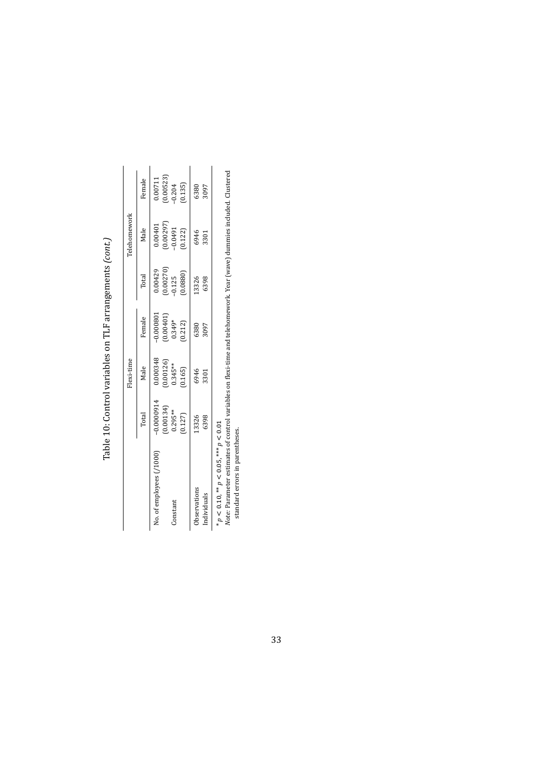|                          |                                                                        | Flexi-time                                                             |                                                                        |                                                                      | <b>Telehomework</b>                                                       |                                                                     |
|--------------------------|------------------------------------------------------------------------|------------------------------------------------------------------------|------------------------------------------------------------------------|----------------------------------------------------------------------|---------------------------------------------------------------------------|---------------------------------------------------------------------|
|                          | Total                                                                  | Male                                                                   | Female                                                                 | Total                                                                | Male                                                                      | Female                                                              |
| No. of employees (/1000) |                                                                        |                                                                        |                                                                        |                                                                      |                                                                           |                                                                     |
|                          |                                                                        |                                                                        | $\begin{array}{c} -0.000801\ (0.00401)\ 0.349^* \ (0.212) \end{array}$ |                                                                      |                                                                           |                                                                     |
| Constant                 |                                                                        |                                                                        |                                                                        |                                                                      |                                                                           |                                                                     |
|                          | $\begin{array}{c} -0.0000914\ (0.00134)\ 0.295**\ (0.127) \end{array}$ | $\begin{array}{c} 0.000348\ (0.00126)\\ 0.345**\ 0.345**\ \end{array}$ |                                                                        | $\begin{array}{c} 0.00429\ (0.00270)\ -0.125\ (0.0880)\ \end{array}$ | $\begin{array}{c} 0.00401 \\ (0.00297) \\ -0.0491 \\ (0.122) \end{array}$ | $\begin{array}{c} 0.00711\ (0.00523)\\ -0.204\ (0.135) \end{array}$ |
| Observations             |                                                                        |                                                                        |                                                                        | 13326<br>6398                                                        |                                                                           |                                                                     |
| Individuals              | 13326<br>6398                                                          | 6946<br>3301                                                           | 6380<br>3097                                                           |                                                                      | 6946<br>3301                                                              | 6380<br>3097                                                        |

Table 10: Control variables on TLF arrangements (cont.) Table 10: Control variables on TLF arrangements *(cont.)*

*p* < 0.10, \*\* *p* < 0.05, \*\*\* *p* < 0.01

\*  $p$  < 0.10, \*\*  $p$  < 0.05, \*\*\*  $p$  < 0.01<br>Note: Parameter estimates of control variables on flexi-time and telehomework. Year (wave) dummies included. Clustered<br>standard errors in parentheses. *Note:* Parameter estimates of control variables on flexi-time and telehomework. Year (wave) dummies included. Clustered standard errors in parentheses.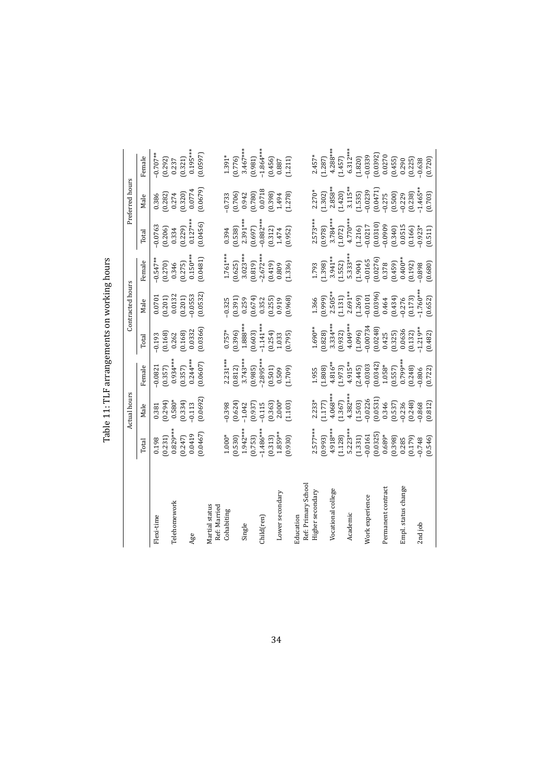|                                |             | <b>Actual hours</b> |            |             | Contracted hours |            |             | Preferred hours |                       |
|--------------------------------|-------------|---------------------|------------|-------------|------------------|------------|-------------|-----------------|-----------------------|
|                                | Total       | Male                | Female     | Total       | Male             | Female     | Total       | Male            | Female                |
| Flexi-time                     | 0.198       | 0.381               | $-0.0821$  | $-0.193$    | 0.0701           | $-0.547**$ | $-0.0763$   | 0.386           | $-0.707**$            |
|                                | (0.231)     | (0.294)             | (0.357)    | (0.168)     | (0.201)          | (0.270)    | (0.206)     | (0.282)         | (0.292)               |
| Telehomework                   | $0.829***$  | $0.580*$            | $0.934***$ | 0.262       | 0.0132           | 0.346      | 0.334       | 0.274           | 0.237                 |
|                                | (0.247)     | (0.334)             | (0.357)    | (0.168)     | (0.201)          | (0.275)    | (0.229)     | (0.320)         | (0.321)               |
| Age                            | 0.0419      | $-0.113$            | $0.244***$ | 0.0332      | $-0.0553$        | $0.150***$ | $0.127***$  | 0.0774          | $0.195***$            |
|                                | (0.0467)    | (0.0692)            | (0.0607)   | (0.0366)    | (0.0532)         | (0.0481)   | (0.0456)    | (0.0679)        | (0.0597)              |
| Martial status<br>Ref: Married |             |                     |            |             |                  |            |             |                 |                       |
| Cohabiting                     | $1.000*$    | $-0.398$            | $2.231***$ | $0.757*$    | $-0.325$         | $1.761***$ | 0.394       | 0.733           |                       |
|                                | (0.530)     | (0.624)             | (0.812)    | (0.396)     | (0.391)          | (0.625)    | (0.538)     | (0.706)         | $1.391*$<br>$(0.776)$ |
| Single                         | $1.942***$  | $-1.042$            | $3.743***$ | 1.888***    | 0.259            | $3.023***$ | 2.391 ***   | 0.942           | $3.467***$            |
|                                | (0.753)     | (0.937)             | (3860)     | (0.603)     | (674)            | (0.819)    | (0.697)     | (0.780)         | (0.981)               |
| Child(ren)                     | $-1.486***$ | $-0.115$            | 2.895***   | $-1.141***$ | 0.352            | $2.672***$ | $-0.882***$ | 0.0718          | $-1.864***$           |
|                                | (0.313)     | (0.363)             | (0.501)    | (0.254)     | (0.255)          | (614.0)    | (0.312)     | (9.398)         | (0.456)               |
| Lower secondary                | 1.859**     | $2.000*$            | 0.509      | 1.033       | 0.919            | 0.809      | 1.474       | 1.494           | 0.887                 |
|                                | (0.930)     | (1.103)             | (1.709)    | (0.795)     | (0.968)          | (1.336)    | (0.952)     | (1.278)         | (1.211)               |
| Education                      |             |                     |            |             |                  |            |             |                 |                       |
| Ref: Primary School            |             |                     |            |             |                  |            |             |                 |                       |
| Higher secondary               | $2.577***$  | $2.233*$            | 1.955      | $1.690**$   | 1.366            | 1.793      | $2.573***$  | $2.270*$        | $2.457*$              |
|                                | (6.993)     | 1.177)              | (1.808)    | (0.828)     | (6.66, 0)        | (1.398)    | (0.978)     | (1.302)         | (1.287)               |
| Vocational college             | 4.918***    | $4.068***$          | $4.816**$  | $3.334***$  | $2.505**$        | 3.941**    | $3.784***$  | $2.858***$      | $4.288***$            |
|                                | 1.128)      | (1.367)             | (1.973)    | (0.932)     | 1.131            | (1.552)    | (1.072)     | (1.420)         | 1.457)                |
| Academic                       | 5.223***    | $4.382***$          | $4.915**$  | $4.049***$  | $2.691**$        | 5.333***   | $4.770***$  | 3.115**         | $6.312***$            |
|                                | (1.331)     | (1.503)             | (2.445)    | (1.096)     | (1.269)          | (1.904)    | (1.216)     | (1.535)         | (1.820)               |
| Work experience                | $-0.0161$   | $-0.0226$           | $-0.0303$  | $-0.00734$  | $-0.0101$        | $-0.0165$  | $-0.0217$   | $-0.0239$       | $-0.0339$             |
|                                | (0.0325)    | 0.0531              | (0.0342)   | 0.0248      | (0.0396)         | (0.0276)   | (0.0310)    | (0.0471)        | (0.0392)              |
| Permanent contract             | 0.689*      | 0.346               | 1.058*     | 0.425       | 0.464            | 0.378      | $-0.0909$   | $-0.275$        | 0.0270                |
|                                | (9.398)     | (0.537)             | (0.557)    | (0.325)     | (0.434)          | (0.459)    | (0.340)     | (0.500)         | (0.455)               |
| Empl. status change            | 0.285       | $-0.236$            | 0.799***   | 0.0636      | $-0.276$         | $0.400**$  | 0.0515      | $-0.229$        | 0.290                 |
|                                | (0.179)     | (0.248)             | (0.248)    | (0.132)     | (0.173)          | (0.192)    | (0.166)     | (0.238)         | (0.225)               |
| 2nd job                        | $-0.748$    | $-0.868$            | $-0.806$   | $-1.219**$  | $1.760***$       | $-0.898$   | $-0.923*$   | $-1.465***$     | $-0.638$              |
|                                | (0.546)     | (0.812)             | (0.722)    | (0.482)     | (0.652)          | (0.680)    | (0.511)     | (0.703)         | (0.720)               |

Table 11: TLF arrangements on working hours Table 11: TLF arrangements on working hours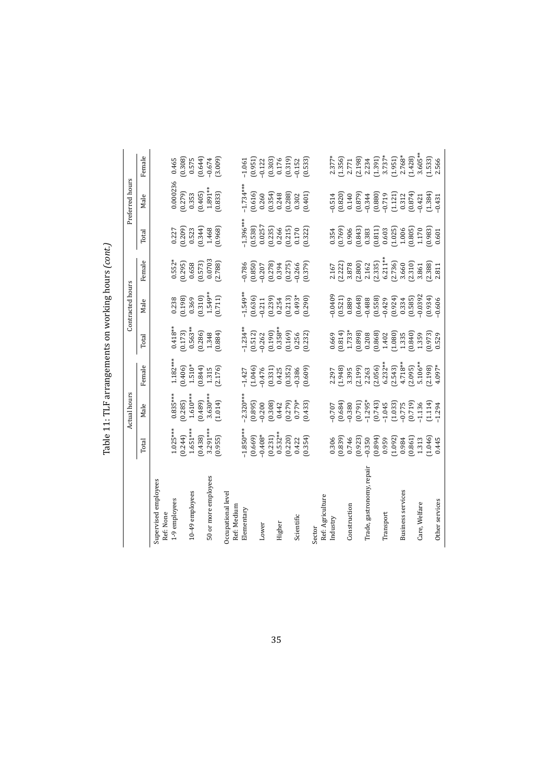|                                   |                       | Actual hours                                   |                         |                                                                     | Contracted hours     |                      |                    | Preferred hours    |                     |
|-----------------------------------|-----------------------|------------------------------------------------|-------------------------|---------------------------------------------------------------------|----------------------|----------------------|--------------------|--------------------|---------------------|
|                                   | Total                 | Male                                           | Female                  | Total                                                               | Male                 | Female               | Total              | Male               | Female              |
| Supervised employees              |                       |                                                |                         |                                                                     |                      |                      |                    |                    |                     |
| Ref: None                         |                       |                                                |                         |                                                                     |                      |                      |                    |                    |                     |
| 1-9 employees                     | $1.025***$            | $0.835***$                                     | $1.182***$              | $0.418**$                                                           | 0.238                | $0.552*$             | 0.227              | 0.000236           | 0.465               |
|                                   | (0.244)               | (0.285)                                        | (0.406)                 | (0.173)                                                             | (861.0)              | $(0.295)$<br>$0.658$ | (602.0)            | (6720)             | (0.308)             |
| 10-49 employees                   | $1.651***$            | $1.610***$                                     | $1.510*$                | $0.563**$                                                           | 0.369                |                      | 0.523              | 0.353              | 0.575               |
|                                   | (0.438)               | (684.0)                                        | (0.844)                 | (0.286)                                                             | (0.310)              | (0.573)              | (0.344)            | (0.405)            | (0.644)             |
| 50 or more employees              | $3.291***$<br>(0.955) | $3.630***$<br>(1.014)                          | 2.176)<br>1.315         | (1.884)<br>1.348                                                    | $1.549**$<br>(0.711) | 0.0703<br>(2.788)    | (8960)<br>1.468    | 1.891**<br>(0.833) | (3.009)<br>$-0.674$ |
| Occupational level<br>Ref: Medium |                       |                                                |                         |                                                                     |                      |                      |                    |                    |                     |
| Elementary                        | $1.850***$            | $2.320***$                                     | $-1.427$                |                                                                     | $1.549***$           | $-0.786$             | $1.396***$         | $-1.734***$        | $-1.061$            |
|                                   | (0.669)               | (0.895)                                        | (1.046)                 | $-1.234**$<br>$(0.512)$<br>$-0.262$<br>$(0.190)$                    | (0.636)              | (0.850)              | (0.538)            | (0.616)            | (0.951)             |
| Lower                             | $-0.408*$             | $-0.200$                                       | $-0.476$                |                                                                     | $-0.211$             | $-0.207$             | 0.0257             | 0.260              | $-0.122$            |
|                                   | (0.231)               | (0.308)                                        | (0.331)                 |                                                                     | (0.239)              | (0.278)              | (0.235)            | (0.354)            | (0.303)             |
| Higher                            | $0.532**$             | 0.442                                          | $\frac{0.425}{(0.352)}$ | $0.358**$                                                           | 0.254                | 0.394                | 0.266              | 0.248              | 0.176               |
|                                   | (0.220)               | (0.279)                                        |                         | (691.0)                                                             | (0.213)              | (0.275)              | (0.215)            | (0.288)            | (0.319)             |
| Scientific                        | 0.422                 | $0.779*$                                       | $-0.386$                | 0.256                                                               | $0.493*$             | $-0.266$             | 0.170              | 0.302              | $-0.152$            |
|                                   | (0.354)               | (6.433)                                        | (609)                   | (0.232)                                                             | (0.290)              | (0.379)              | (0.322)            | (0.401)            | (0.533)             |
| Sector                            |                       |                                                |                         |                                                                     |                      |                      |                    |                    |                     |
| Ref: Agriculture                  |                       |                                                |                         |                                                                     |                      |                      |                    |                    |                     |
| $Indust$ ry                       | 0.306                 | 0.707                                          | 2.297                   | 0.669                                                               | 0.0409               | 2.167                | 0.354              | $-0.514$           | $2.377*$<br>[1.356] |
|                                   | (6880)                | (0.684)                                        | (846)                   | (418.0)                                                             | (0.521)              | (2.222)              | (697.0)            | (0.820)            |                     |
| Construction                      | 0.746                 | $-0.380$                                       | 3.395                   | $1.733*$                                                            | 0.889                | 3.878                | 0.906              | 0.140              | 2.771               |
|                                   | (0.923)               | (0.791)                                        | (2.199)                 | (9.898)                                                             | (0.648)              | (2.800)              | $(6+8, 0)$         | (6.879)            | (2.198)             |
| Trade, gastronomy, repain         | $-0.350$              | $-1.295*$                                      | 2.263                   | 0.208                                                               | $-0.488$             | 2.162<br>(2.335)     | 0.383              | $-0.344$           | 2.234               |
|                                   | $(1 + 68.0)$          | $(0.743)$<br>$-1.045$<br>$(1.033)$<br>$-0.775$ | (2.056)                 | $\begin{array}{c} (0.868) \\ 1.402 \\ (1.080) \\ 1.335 \end{array}$ | (0.558)              |                      | (0.811)            | (0.880)            | $(1.391)$<br>3.737* |
| Transport                         | 0.959                 |                                                | $6.232**$               |                                                                     |                      | $6.211***$           | 0.603              | $-0.719$           |                     |
|                                   | (1.092)               |                                                | $(2.543)$<br>$4.718**$  |                                                                     | $(0.924)$<br>0.334   | (2.736)              | (1.025)            | (1.121)            | (1.951)             |
| <b>Business services</b>          | 0.984                 |                                                |                         |                                                                     |                      | 3.660                | 1.006              | 0.312              | $2.768*$            |
|                                   | (0.861)               | (0.719)                                        | (2.095)                 | (0.840)                                                             | (0.585)              | (2.310)              | $(0.805)$<br>1.170 | (0.874)            | (1.428)             |
| Care, Welfare                     | 1.313                 | $-1.136$                                       | $5.106**$               | 1.359                                                               | $-0.0392$            | 3.861                |                    | $-0.421$           | 3.605**             |
|                                   | $(1.046)$<br>0.445    | (1.114)                                        | (361.2)                 | (678, 0)                                                            | (0.934)              | (2.388)              | (686)              | (1.384)            | (1.533)             |
| Other services                    |                       | $-1.294$                                       | 4.097*                  | 0.529                                                               | $-0.606$             | 2.811                | 0.601              | $-0.431$           | 2.566               |

 $(200t)$  $\frac{1}{2}$ Table 11. TI E a